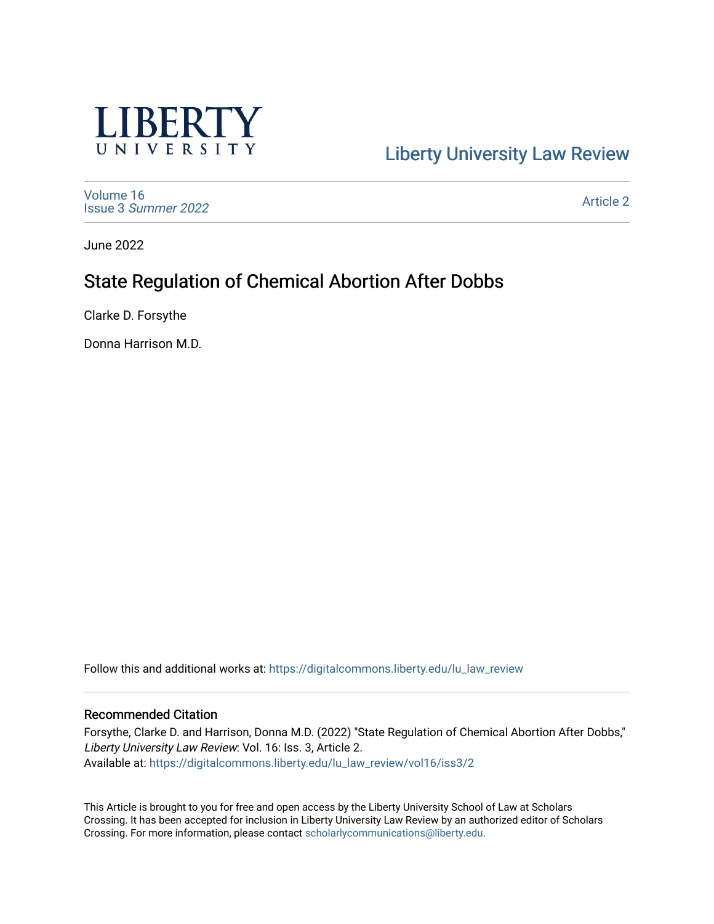

# [Liberty University Law Review](https://digitalcommons.liberty.edu/lu_law_review)

[Volume 16](https://digitalcommons.liberty.edu/lu_law_review/vol16) Issue 3 [Summer 2022](https://digitalcommons.liberty.edu/lu_law_review/vol16/iss3) 

[Article 2](https://digitalcommons.liberty.edu/lu_law_review/vol16/iss3/2) 

June 2022

# State Regulation of Chemical Abortion After Dobbs

Clarke D. Forsythe

Donna Harrison M.D.

Follow this and additional works at: [https://digitalcommons.liberty.edu/lu\\_law\\_review](https://digitalcommons.liberty.edu/lu_law_review?utm_source=digitalcommons.liberty.edu%2Flu_law_review%2Fvol16%2Fiss3%2F2&utm_medium=PDF&utm_campaign=PDFCoverPages) 

#### Recommended Citation

Forsythe, Clarke D. and Harrison, Donna M.D. (2022) "State Regulation of Chemical Abortion After Dobbs," Liberty University Law Review: Vol. 16: Iss. 3, Article 2. Available at: [https://digitalcommons.liberty.edu/lu\\_law\\_review/vol16/iss3/2](https://digitalcommons.liberty.edu/lu_law_review/vol16/iss3/2?utm_source=digitalcommons.liberty.edu%2Flu_law_review%2Fvol16%2Fiss3%2F2&utm_medium=PDF&utm_campaign=PDFCoverPages) 

This Article is brought to you for free and open access by the Liberty University School of Law at Scholars Crossing. It has been accepted for inclusion in Liberty University Law Review by an authorized editor of Scholars Crossing. For more information, please contact [scholarlycommunications@liberty.edu](mailto:scholarlycommunications@liberty.edu).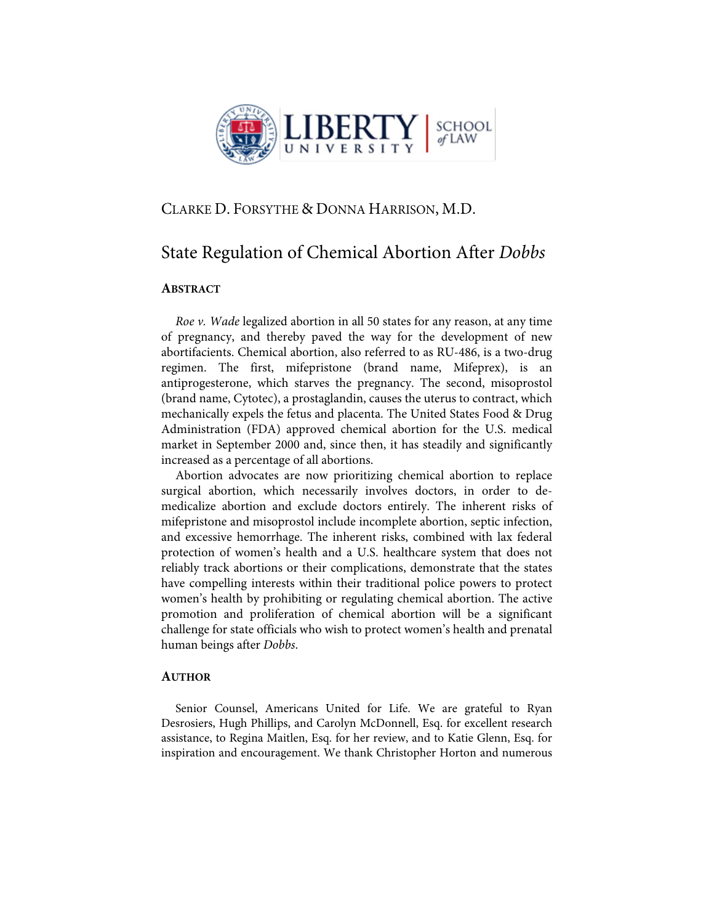

### CLARKE D. FORSYTHE & DONNA HARRISON, M.D.

### State Regulation of Chemical Abortion After *Dobbs*

#### **ABSTRACT**

*Roe v. Wade* legalized abortion in all 50 states for any reason, at any time of pregnancy, and thereby paved the way for the development of new abortifacients. Chemical abortion, also referred to as RU-486, is a two-drug regimen. The first, mifepristone (brand name, Mifeprex), is an antiprogesterone, which starves the pregnancy. The second, misoprostol (brand name, Cytotec), a prostaglandin, causes the uterus to contract, which mechanically expels the fetus and placenta. The United States Food & Drug Administration (FDA) approved chemical abortion for the U.S. medical market in September 2000 and, since then, it has steadily and significantly increased as a percentage of all abortions.

Abortion advocates are now prioritizing chemical abortion to replace surgical abortion, which necessarily involves doctors, in order to demedicalize abortion and exclude doctors entirely. The inherent risks of mifepristone and misoprostol include incomplete abortion, septic infection, and excessive hemorrhage. The inherent risks, combined with lax federal protection of women's health and a U.S. healthcare system that does not reliably track abortions or their complications, demonstrate that the states have compelling interests within their traditional police powers to protect women's health by prohibiting or regulating chemical abortion. The active promotion and proliferation of chemical abortion will be a significant challenge for state officials who wish to protect women's health and prenatal human beings after *Dobbs*.

#### **AUTHOR**

Senior Counsel, Americans United for Life. We are grateful to Ryan Desrosiers, Hugh Phillips, and Carolyn McDonnell, Esq. for excellent research assistance, to Regina Maitlen, Esq. for her review, and to Katie Glenn, Esq. for inspiration and encouragement. We thank Christopher Horton and numerous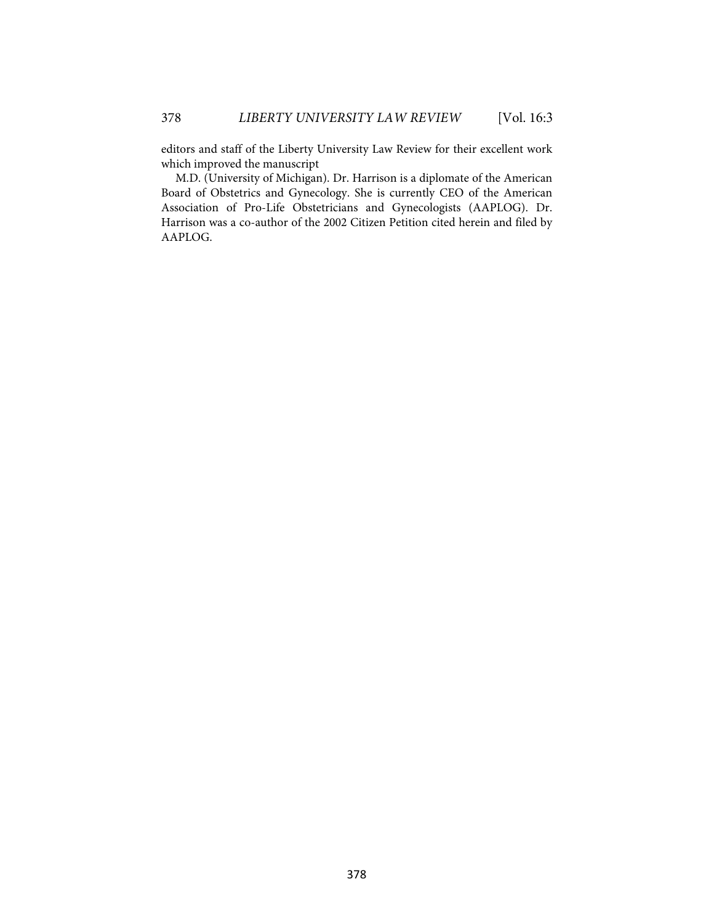editors and staff of the Liberty University Law Review for their excellent work which improved the manuscript

M.D. (University of Michigan). Dr. Harrison is a diplomate of the American Board of Obstetrics and Gynecology. She is currently CEO of the American Association of Pro-Life Obstetricians and Gynecologists (AAPLOG). Dr. Harrison was a co-author of the 2002 Citizen Petition cited herein and filed by AAPLOG.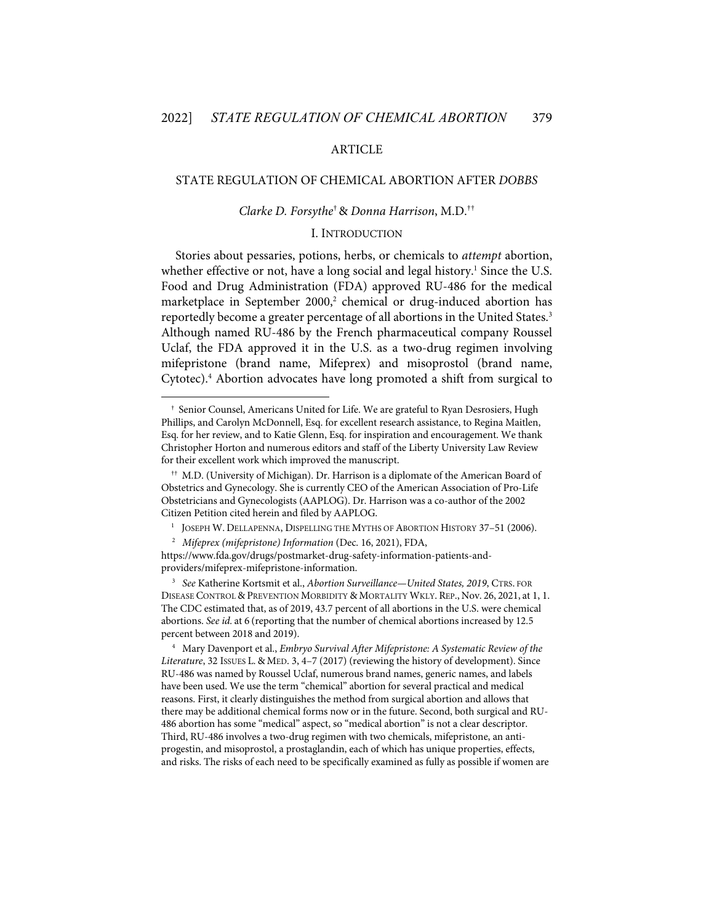#### ARTICLE

#### STATE REGULATION OF CHEMICAL ABORTION AFTER *DOBBS*

#### *Clarke D. Forsythe*†& *Donna Harrison*, M.D.††

#### I. INTRODUCTION

Stories about pessaries, potions, herbs, or chemicals to *attempt* abortion, whether effective or not, have a long social and legal history.<sup>1</sup> Since the U.S. Food and Drug Administration (FDA) approved RU-486 for the medical marketplace in September 2000,<sup>2</sup> chemical or drug-induced abortion has reportedly become a greater percentage of all abortions in the United States.<sup>3</sup> Although named RU-486 by the French pharmaceutical company Roussel Uclaf, the FDA approved it in the U.S. as a two-drug regimen involving mifepristone (brand name, Mifeprex) and misoprostol (brand name, Cytotec). <sup>4</sup> Abortion advocates have long promoted a shift from surgical to

<sup>†</sup> Senior Counsel, Americans United for Life. We are grateful to Ryan Desrosiers, Hugh Phillips, and Carolyn McDonnell, Esq. for excellent research assistance, to Regina Maitlen, Esq. for her review, and to Katie Glenn, Esq. for inspiration and encouragement. We thank Christopher Horton and numerous editors and staff of the Liberty University Law Review for their excellent work which improved the manuscript.

<sup>††</sup> M.D. (University of Michigan). Dr. Harrison is a diplomate of the American Board of Obstetrics and Gynecology. She is currently CEO of the American Association of Pro-Life Obstetricians and Gynecologists (AAPLOG). Dr. Harrison was a co-author of the 2002 Citizen Petition cited herein and filed by AAPLOG.

<sup>1</sup> JOSEPH W. DELLAPENNA, DISPELLING THE MYTHS OF ABORTION HISTORY 37–51 (2006).

<sup>2</sup> *Mifeprex (mifepristone) Information* (Dec. 16, 2021), FDA,

https://www.fda.gov/drugs/postmarket-drug-safety-information-patients-andproviders/mifeprex-mifepristone-information.

<sup>3</sup> *See* Katherine Kortsmit et al., *Abortion Surveillance—United States, 2019*, CTRS. FOR DISEASE CONTROL & PREVENTION MORBIDITY & MORTALITY WKLY. REP., Nov. 26, 2021, at 1, 1. The CDC estimated that, as of 2019, 43.7 percent of all abortions in the U.S. were chemical abortions. *See id.* at 6 (reporting that the number of chemical abortions increased by 12.5 percent between 2018 and 2019).

<sup>4</sup> Mary Davenport et al., *Embryo Survival After Mifepristone: A Systematic Review of the Literature*, 32 ISSUES L. & MED. 3, 4–7 (2017) (reviewing the history of development). Since RU-486 was named by Roussel Uclaf, numerous brand names, generic names, and labels have been used. We use the term "chemical" abortion for several practical and medical reasons. First, it clearly distinguishes the method from surgical abortion and allows that there may be additional chemical forms now or in the future. Second, both surgical and RU-486 abortion has some "medical" aspect, so "medical abortion" is not a clear descriptor. Third, RU-486 involves a two-drug regimen with two chemicals, mifepristone, an antiprogestin, and misoprostol, a prostaglandin, each of which has unique properties, effects, and risks. The risks of each need to be specifically examined as fully as possible if women are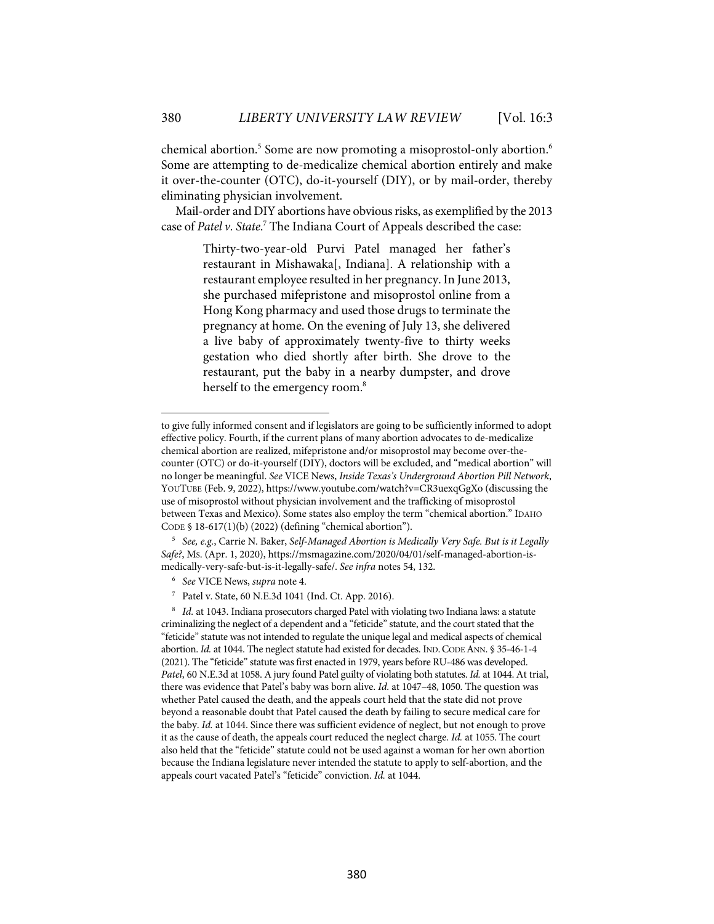chemical abortion.<sup>5</sup> Some are now promoting a misoprostol-only abortion.<sup>6</sup> Some are attempting to de-medicalize chemical abortion entirely and make it over-the-counter (OTC), do-it-yourself (DIY), or by mail-order, thereby eliminating physician involvement.

Mail-order and DIY abortions have obvious risks, as exemplified by the 2013 case of *Patel v. State*. <sup>7</sup> The Indiana Court of Appeals described the case:

> Thirty-two-year-old Purvi Patel managed her father's restaurant in Mishawaka[, Indiana]. A relationship with a restaurant employee resulted in her pregnancy. In June 2013, she purchased mifepristone and misoprostol online from a Hong Kong pharmacy and used those drugs to terminate the pregnancy at home. On the evening of July 13, she delivered a live baby of approximately twenty-five to thirty weeks gestation who died shortly after birth. She drove to the restaurant, put the baby in a nearby dumpster, and drove herself to the emergency room. 8

8 *Id.* at 1043. Indiana prosecutors charged Patel with violating two Indiana laws: a statute criminalizing the neglect of a dependent and a "feticide" statute, and the court stated that the "feticide" statute was not intended to regulate the unique legal and medical aspects of chemical abortion. *Id.* at 1044. The neglect statute had existed for decades. IND. CODE ANN. § 35-46-1-4 (2021). The "feticide" statute was first enacted in 1979, years before RU-486 was developed. *Patel*, 60 N.E.3d at 1058. A jury found Patel guilty of violating both statutes. *Id.* at 1044. At trial, there was evidence that Patel's baby was born alive. *Id.* at 1047–48, 1050. The question was whether Patel caused the death, and the appeals court held that the state did not prove beyond a reasonable doubt that Patel caused the death by failing to secure medical care for the baby. *Id.* at 1044. Since there was sufficient evidence of neglect, but not enough to prove it as the cause of death, the appeals court reduced the neglect charge. *Id.* at 1055. The court also held that the "feticide" statute could not be used against a woman for her own abortion because the Indiana legislature never intended the statute to apply to self-abortion, and the appeals court vacated Patel's "feticide" conviction. *Id.* at 1044.

to give fully informed consent and if legislators are going to be sufficiently informed to adopt effective policy. Fourth, if the current plans of many abortion advocates to de-medicalize chemical abortion are realized, mifepristone and/or misoprostol may become over-thecounter (OTC) or do-it-yourself (DIY), doctors will be excluded, and "medical abortion" will no longer be meaningful. *See* VICE News, *Inside Texas's Underground Abortion Pill Network*, YOUTUBE (Feb. 9, 2022), https://www.youtube.com/watch?v=CR3uexqGgXo (discussing the use of misoprostol without physician involvement and the trafficking of misoprostol between Texas and Mexico). Some states also employ the term "chemical abortion." IDAHO CODE § 18-617(1)(b) (2022) (defining "chemical abortion").

<sup>5</sup> *See, e.g.*, Carrie N. Baker, *Self-Managed Abortion is Medically Very Safe. But is it Legally Safe?*, MS. (Apr. 1, 2020), https://msmagazine.com/2020/04/01/self-managed-abortion-ismedically-very-safe-but-is-it-legally-safe/. *See infra* notes 54, 132.

<sup>6</sup> *See* VICE News, *supra* note 4.

Patel v. State, 60 N.E.3d 1041 (Ind. Ct. App. 2016).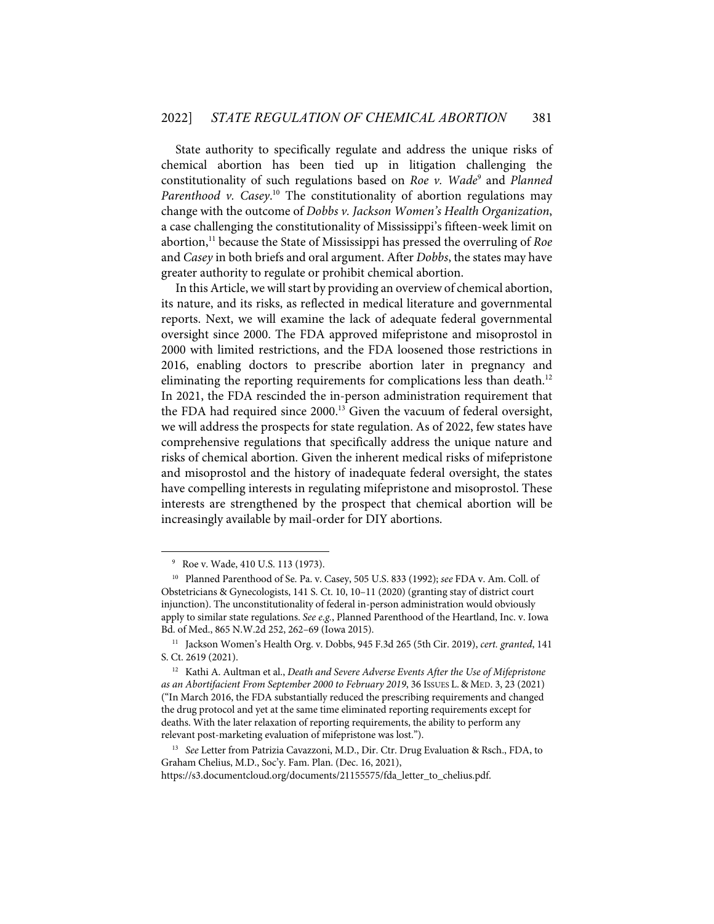State authority to specifically regulate and address the unique risks of chemical abortion has been tied up in litigation challenging the constitutionality of such regulations based on *Roe v. Wade*<sup>9</sup> and *Planned*  Parenthood v. Casey.<sup>10</sup> The constitutionality of abortion regulations may change with the outcome of *Dobbs v. Jackson Women's Health Organization*, a case challenging the constitutionality of Mississippi's fifteen-week limit on abortion,<sup>11</sup> because the State of Mississippi has pressed the overruling of *Roe* and *Casey* in both briefs and oral argument. After *Dobbs*, the states may have greater authority to regulate or prohibit chemical abortion.

In this Article, we will start by providing an overview of chemical abortion, its nature, and its risks, as reflected in medical literature and governmental reports. Next, we will examine the lack of adequate federal governmental oversight since 2000. The FDA approved mifepristone and misoprostol in 2000 with limited restrictions, and the FDA loosened those restrictions in 2016, enabling doctors to prescribe abortion later in pregnancy and eliminating the reporting requirements for complications less than death.<sup>12</sup> In 2021, the FDA rescinded the in-person administration requirement that the FDA had required since 2000. <sup>13</sup> Given the vacuum of federal oversight, we will address the prospects for state regulation. As of 2022, few states have comprehensive regulations that specifically address the unique nature and risks of chemical abortion. Given the inherent medical risks of mifepristone and misoprostol and the history of inadequate federal oversight, the states have compelling interests in regulating mifepristone and misoprostol. These interests are strengthened by the prospect that chemical abortion will be increasingly available by mail-order for DIY abortions.

<sup>9</sup> Roe v. Wade, 410 U.S. 113 (1973).

<sup>10</sup> Planned Parenthood of Se. Pa. v. Casey, 505 U.S. 833 (1992); *see* FDA v. Am. Coll. of Obstetricians & Gynecologists, 141 S. Ct. 10, 10–11 (2020) (granting stay of district court injunction). The unconstitutionality of federal in-person administration would obviously apply to similar state regulations. *See e.g.*, Planned Parenthood of the Heartland, Inc. v. Iowa Bd. of Med., 865 N.W.2d 252, 262–69 (Iowa 2015).

<sup>11</sup> Jackson Women's Health Org. v. Dobbs, 945 F.3d 265 (5th Cir. 2019), *cert. granted*, 141 S. Ct. 2619 (2021).

<sup>12</sup> Kathi A. Aultman et al., *Death and Severe Adverse Events After the Use of Mifepristone as an Abortifacient From September 2000 to February 2019*, 36 ISSUES L. & MED. 3, 23 (2021) ("In March 2016, the FDA substantially reduced the prescribing requirements and changed the drug protocol and yet at the same time eliminated reporting requirements except for deaths. With the later relaxation of reporting requirements, the ability to perform any relevant post-marketing evaluation of mifepristone was lost.").

<sup>&</sup>lt;sup>13</sup> See Letter from Patrizia Cavazzoni, M.D., Dir. Ctr. Drug Evaluation & Rsch., FDA, to Graham Chelius, M.D., Soc'y. Fam. Plan. (Dec. 16, 2021), https://s3.documentcloud.org/documents/21155575/fda\_letter\_to\_chelius.pdf.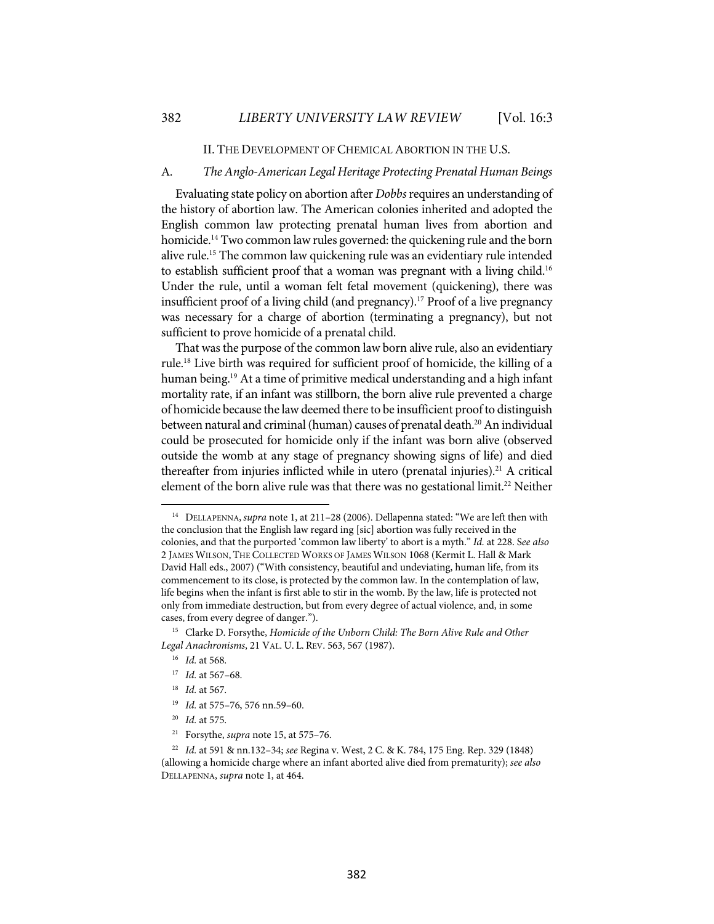#### II. THE DEVELOPMENT OF CHEMICAL ABORTION IN THE U.S.

#### A. *The Anglo-American Legal Heritage Protecting Prenatal Human Beings*

Evaluating state policy on abortion after *Dobbs*requires an understanding of the history of abortion law. The American colonies inherited and adopted the English common law protecting prenatal human lives from abortion and homicide.<sup>14</sup> Two common law rules governed: the quickening rule and the born alive rule. <sup>15</sup> The common law quickening rule was an evidentiary rule intended to establish sufficient proof that a woman was pregnant with a living child.<sup>16</sup> Under the rule, until a woman felt fetal movement (quickening), there was insufficient proof of a living child (and pregnancy). <sup>17</sup> Proof of a live pregnancy was necessary for a charge of abortion (terminating a pregnancy), but not sufficient to prove homicide of a prenatal child.

That was the purpose of the common law born alive rule, also an evidentiary rule.18 Live birth was required for sufficient proof of homicide, the killing of a human being.<sup>19</sup> At a time of primitive medical understanding and a high infant mortality rate, if an infant was stillborn, the born alive rule prevented a charge of homicide because the law deemed there to be insufficient proof to distinguish between natural and criminal (human) causes of prenatal death.<sup>20</sup> An individual could be prosecuted for homicide only if the infant was born alive (observed outside the womb at any stage of pregnancy showing signs of life) and died thereafter from injuries inflicted while in utero (prenatal injuries).<sup>21</sup> A critical element of the born alive rule was that there was no gestational limit.<sup>22</sup> Neither

- 18 *Id.* at 567.
- 19 *Id.* at 575–76, 576 nn.59–60.
- 20 *Id.* at 575.
- 21 Forsythe, *supra* note 15, at 575–76.

382

<sup>14</sup> DELLAPENNA, *supra* note 1, at 211–28 (2006). Dellapenna stated: "We are left then with the conclusion that the English law regard ing [sic] abortion was fully received in the colonies, and that the purported 'common law liberty' to abort is a myth." *Id.* at 228. S*ee also* 2 JAMES WILSON, THE COLLECTED WORKS OF JAMES WILSON 1068 (Kermit L. Hall & Mark David Hall eds., 2007) ("With consistency, beautiful and undeviating, human life, from its commencement to its close, is protected by the common law. In the contemplation of law, life begins when the infant is first able to stir in the womb. By the law, life is protected not only from immediate destruction, but from every degree of actual violence, and, in some cases, from every degree of danger.").

<sup>15</sup> Clarke D. Forsythe, *Homicide of the Unborn Child: The Born Alive Rule and Other Legal Anachronisms*, 21 VAL. U. L. REV. 563, 567 (1987).

<sup>16</sup> *Id.* at 568.

<sup>17</sup> *Id.* at 567–68.

<sup>22</sup> *Id.* at 591 & nn.132–34; *see* Regina v. West, 2 C. & K. 784, 175 Eng. Rep. 329 (1848) (allowing a homicide charge where an infant aborted alive died from prematurity); *see also* DELLAPENNA, *supra* note 1, at 464.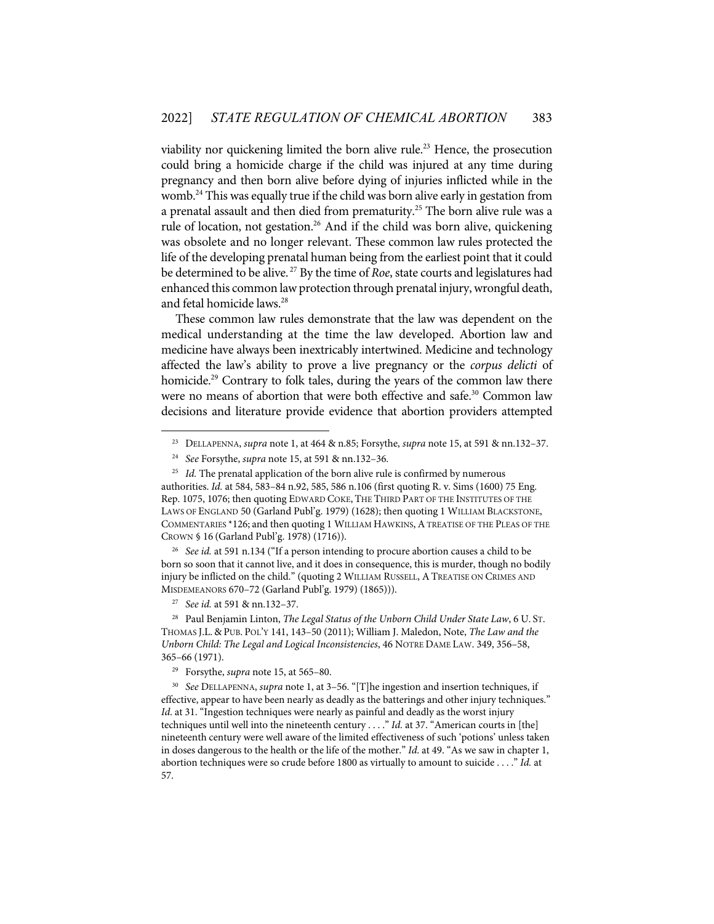viability nor quickening limited the born alive rule.<sup>23</sup> Hence, the prosecution could bring a homicide charge if the child was injured at any time during pregnancy and then born alive before dying of injuries inflicted while in the womb.24 This was equally true if the child was born alive early in gestation from a prenatal assault and then died from prematurity.<sup>25</sup> The born alive rule was a rule of location, not gestation.<sup>26</sup> And if the child was born alive, quickening was obsolete and no longer relevant. These common law rules protected the life of the developing prenatal human being from the earliest point that it could be determined to be alive. <sup>27</sup> By the time of *Roe*, state courts and legislatures had enhanced this common law protection through prenatal injury, wrongful death, and fetal homicide laws. 28

These common law rules demonstrate that the law was dependent on the medical understanding at the time the law developed. Abortion law and medicine have always been inextricably intertwined. Medicine and technology affected the law's ability to prove a live pregnancy or the *corpus delicti* of homicide.<sup>29</sup> Contrary to folk tales, during the years of the common law there were no means of abortion that were both effective and safe.<sup>30</sup> Common law decisions and literature provide evidence that abortion providers attempted

<sup>26</sup> See id. at 591 n.134 ("If a person intending to procure abortion causes a child to be born so soon that it cannot live, and it does in consequence, this is murder, though no bodily injury be inflicted on the child." (quoting 2 WILLIAM RUSSELL, ATREATISE ON CRIMES AND MISDEMEANORS 670–72 (Garland Publ'g. 1979) (1865))).

27 *See id.* at 591 & nn.132–37.

28 Paul Benjamin Linton, *The Legal Status of the Unborn Child Under State Law*, 6 U. ST. THOMAS J.L. & PUB. POL'Y 141, 143–50 (2011); William J. Maledon, Note, *The Law and the Unborn Child: The Legal and Logical Inconsistencies*, 46 NOTRE DAME LAW. 349, 356–58, 365–66 (1971).

<sup>23</sup> DELLAPENNA, *supra* note 1, at 464 & n.85; Forsythe, *supra* note 15, at 591 & nn.132–37.

<sup>24</sup> *See* Forsythe, *supra* note 15, at 591 & nn.132–36.

<sup>&</sup>lt;sup>25</sup> *Id.* The prenatal application of the born alive rule is confirmed by numerous authorities. *Id.* at 584, 583–84 n.92, 585, 586 n.106 (first quoting R. v. Sims (1600) 75 Eng. Rep. 1075, 1076; then quoting EDWARD COKE, THE THIRD PART OF THE INSTITUTES OF THE LAWS OF ENGLAND 50 (Garland Publ'g. 1979) (1628); then quoting 1 WILLIAM BLACKSTONE, COMMENTARIES \*126; and then quoting 1 WILLIAM HAWKINS, A TREATISE OF THE PLEAS OF THE CROWN § 16 (Garland Publ'g. 1978) (1716)).

Forsythe, *supra* note 15, at 565-80.

<sup>30</sup> *See* DELLAPENNA, *supra* note 1, at 3–56. "[T]he ingestion and insertion techniques, if effective, appear to have been nearly as deadly as the batterings and other injury techniques." *Id*. at 31. "Ingestion techniques were nearly as painful and deadly as the worst injury techniques until well into the nineteenth century . . . ." *Id.* at 37. "American courts in [the] nineteenth century were well aware of the limited effectiveness of such 'potions' unless taken in doses dangerous to the health or the life of the mother." *Id*. at 49. "As we saw in chapter 1, abortion techniques were so crude before 1800 as virtually to amount to suicide . . . ." *Id.* at 57.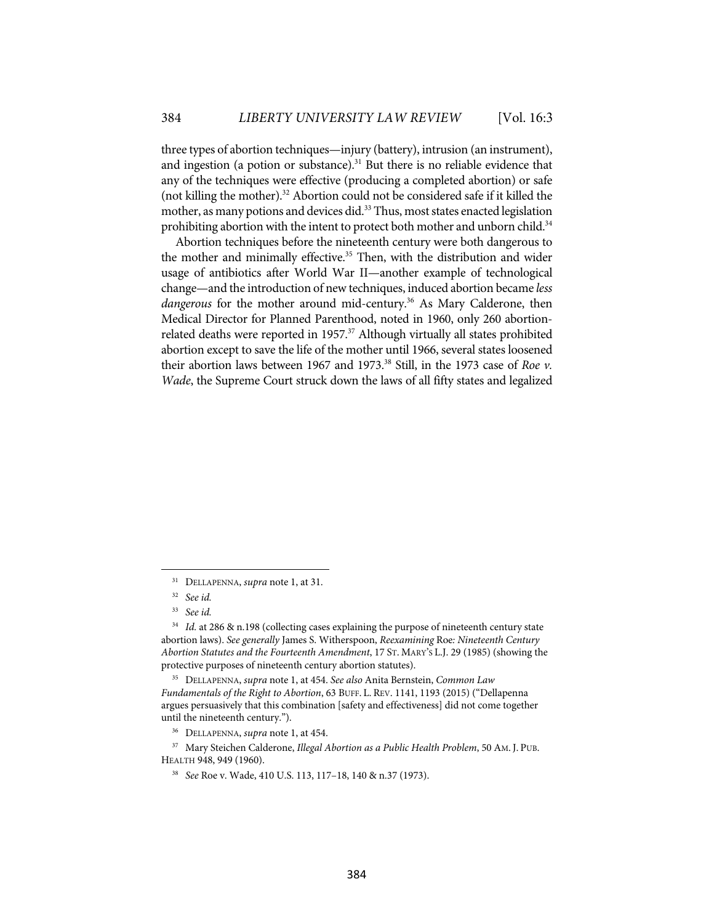three types of abortion techniques—injury (battery), intrusion (an instrument), and ingestion (a potion or substance). $31$  But there is no reliable evidence that any of the techniques were effective (producing a completed abortion) or safe (not killing the mother).32 Abortion could not be considered safe if it killed the mother, as many potions and devices did.<sup>33</sup> Thus, most states enacted legislation prohibiting abortion with the intent to protect both mother and unborn child.<sup>34</sup>

Abortion techniques before the nineteenth century were both dangerous to the mother and minimally effective. <sup>35</sup> Then, with the distribution and wider usage of antibiotics after World War II—another example of technological change—and the introduction of new techniques, induced abortion became *less*  dangerous for the mother around mid-century.<sup>36</sup> As Mary Calderone, then Medical Director for Planned Parenthood, noted in 1960, only 260 abortionrelated deaths were reported in 1957. <sup>37</sup> Although virtually all states prohibited abortion except to save the life of the mother until 1966, several states loosened their abortion laws between 1967 and 1973.38 Still, in the 1973 case of *Roe v. Wade*, the Supreme Court struck down the laws of all fifty states and legalized

<sup>31</sup> DELLAPENNA, *supra* note 1, at 31.

<sup>32</sup> *See id.*

<sup>33</sup> *See id.*

<sup>&</sup>lt;sup>34</sup> *Id.* at 286 & n.198 (collecting cases explaining the purpose of nineteenth century state abortion laws). *See generally* James S. Witherspoon, *Reexamining* Roe*: Nineteenth Century Abortion Statutes and the Fourteenth Amendment*, 17 ST. MARY'S L.J. 29 (1985) (showing the protective purposes of nineteenth century abortion statutes).

<sup>35</sup> DELLAPENNA, *supra* note 1, at 454. *See also* Anita Bernstein, *Common Law Fundamentals of the Right to Abortion*, 63 BUFF. L. REV. 1141, 1193 (2015) ("Dellapenna argues persuasively that this combination [safety and effectiveness] did not come together until the nineteenth century.").

<sup>36</sup> DELLAPENNA, *supra* note 1, at 454.

<sup>37</sup> Mary Steichen Calderone, *Illegal Abortion as a Public Health Problem*, 50 AM. J. PUB. HEALTH 948, 949 (1960).

<sup>38</sup> *See* Roe v. Wade, 410 U.S. 113, 117–18, 140 & n.37 (1973).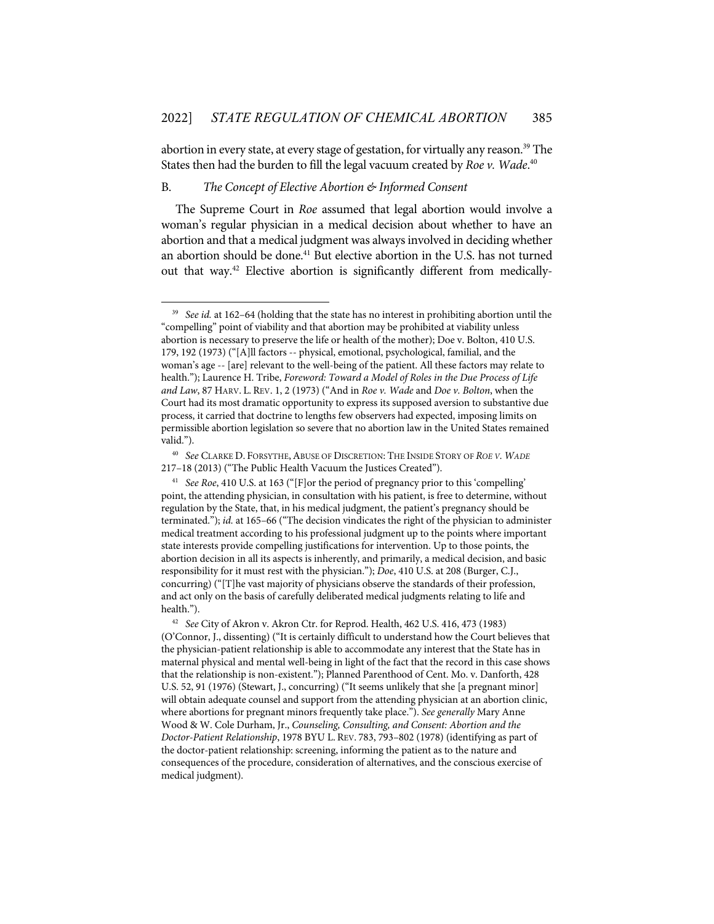abortion in every state, at every stage of gestation, for virtually any reason.<sup>39</sup> The States then had the burden to fill the legal vacuum created by *Roe v. Wade*. 40

#### B. *The Concept of Elective Abortion & Informed Consent*

The Supreme Court in *Roe* assumed that legal abortion would involve a woman's regular physician in a medical decision about whether to have an abortion and that a medical judgment was always involved in deciding whether an abortion should be done.<sup>41</sup> But elective abortion in the U.S. has not turned out that way.42 Elective abortion is significantly different from medically-

See *id.* at 162–64 (holding that the state has no interest in prohibiting abortion until the "compelling" point of viability and that abortion may be prohibited at viability unless abortion is necessary to preserve the life or health of the mother); Doe v. Bolton, 410 U.S. 179, 192 (1973) ("[A]ll factors -- physical, emotional, psychological, familial, and the woman's age -- [are] relevant to the well-being of the patient. All these factors may relate to health."); Laurence H. Tribe, *Foreword: Toward a Model of Roles in the Due Process of Life and Law*, 87 HARV. L. REV. 1, 2 (1973) ("And in *Roe v. Wade* and *Doe v. Bolton*, when the Court had its most dramatic opportunity to express its supposed aversion to substantive due process, it carried that doctrine to lengths few observers had expected, imposing limits on permissible abortion legislation so severe that no abortion law in the United States remained valid.").

<sup>40</sup> *See* CLARKE D. FORSYTHE,ABUSE OF DISCRETION: THE INSIDE STORY OF *ROE V. WADE* 217–18 (2013) ("The Public Health Vacuum the Justices Created").

<sup>41</sup> *See Roe*, 410 U.S. at 163 ("[F]or the period of pregnancy prior to this 'compelling' point, the attending physician, in consultation with his patient, is free to determine, without regulation by the State, that, in his medical judgment, the patient's pregnancy should be terminated."); *id.* at 165–66 ("The decision vindicates the right of the physician to administer medical treatment according to his professional judgment up to the points where important state interests provide compelling justifications for intervention. Up to those points, the abortion decision in all its aspects is inherently, and primarily, a medical decision, and basic responsibility for it must rest with the physician."); *Doe*, 410 U.S. at 208 (Burger, C.J., concurring) ("[T]he vast majority of physicians observe the standards of their profession, and act only on the basis of carefully deliberated medical judgments relating to life and health.").

<sup>42</sup> *See* City of Akron v. Akron Ctr. for Reprod. Health, 462 U.S. 416, 473 (1983) (O'Connor, J., dissenting) ("It is certainly difficult to understand how the Court believes that the physician-patient relationship is able to accommodate any interest that the State has in maternal physical and mental well-being in light of the fact that the record in this case shows that the relationship is non-existent."); Planned Parenthood of Cent. Mo. v. Danforth, 428 U.S. 52, 91 (1976) (Stewart, J., concurring) ("It seems unlikely that she [a pregnant minor] will obtain adequate counsel and support from the attending physician at an abortion clinic, where abortions for pregnant minors frequently take place."). *See generally* Mary Anne Wood & W. Cole Durham, Jr., *Counseling, Consulting, and Consent: Abortion and the Doctor-Patient Relationship*, 1978 BYU L. REV. 783, 793–802 (1978) (identifying as part of the doctor-patient relationship: screening, informing the patient as to the nature and consequences of the procedure, consideration of alternatives, and the conscious exercise of medical judgment).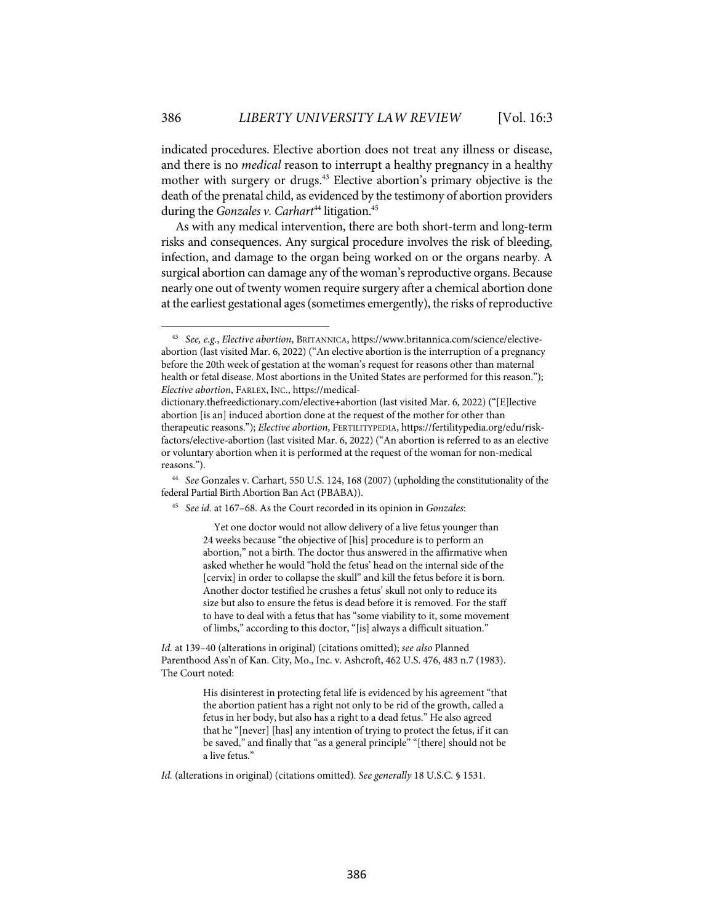indicated procedures. Elective abortion does not treat any illness or disease, and there is no *medical* reason to interrupt a healthy pregnancy in a healthy mother with surgery or drugs. <sup>43</sup> Elective abortion's primary objective is the death of the prenatal child, as evidenced by the testimony of abortion providers during the *Gonzales v. Carhart*<sup>44</sup> litigation.<sup>45</sup>

As with any medical intervention, there are both short-term and long-term risks and consequences. Any surgical procedure involves the risk of bleeding, infection, and damage to the organ being worked on or the organs nearby. A surgical abortion can damage any of the woman's reproductive organs. Because nearly one out of twenty women require surgery after a chemical abortion done at the earliest gestational ages(sometimes emergently), the risks of reproductive

<sup>45</sup> *See id.* at 167–68. As the Court recorded in its opinion in *Gonzales*:

Yet one doctor would not allow delivery of a live fetus younger than 24 weeks because "the objective of [his] procedure is to perform an abortion," not a birth. The doctor thus answered in the affirmative when asked whether he would "hold the fetus' head on the internal side of the [cervix] in order to collapse the skull" and kill the fetus before it is born. Another doctor testified he crushes a fetus' skull not only to reduce its size but also to ensure the fetus is dead before it is removed. For the staff to have to deal with a fetus that has "some viability to it, some movement of limbs," according to this doctor, "[is] always a difficult situation."

*Id.* at 139–40 (alterations in original) (citations omitted); *see also* Planned Parenthood Ass'n of Kan. City, Mo., Inc. v. Ashcroft, 462 U.S. 476, 483 n.7 (1983). The Court noted:

> His disinterest in protecting fetal life is evidenced by his agreement "that the abortion patient has a right not only to be rid of the growth, called a fetus in her body, but also has a right to a dead fetus." He also agreed that he "[never] [has] any intention of trying to protect the fetus, if it can be saved," and finally that "as a general principle" "[there] should not be a live fetus."

<sup>43</sup> *See, e.g.*, *Elective abortion*, BRITANNICA, https://www.britannica.com/science/electiveabortion (last visited Mar. 6, 2022) ("An elective abortion is the interruption of a pregnancy before the 20th week of gestation at the woman's request for reasons other than maternal health or fetal disease. Most abortions in the United States are performed for this reason."); *Elective abortion*, FARLEX, INC., https://medical-

dictionary.thefreedictionary.com/elective+abortion (last visited Mar. 6, 2022) ("[E]lective abortion [is an] induced abortion done at the request of the mother for other than therapeutic reasons."); *Elective abortion*, FERTILITYPEDIA, https://fertilitypedia.org/edu/riskfactors/elective-abortion (last visited Mar. 6, 2022) ("An abortion is referred to as an elective or voluntary abortion when it is performed at the request of the woman for non-medical reasons.").

<sup>44</sup> *See* Gonzales v. Carhart, 550 U.S. 124, 168 (2007) (upholding the constitutionality of the federal Partial Birth Abortion Ban Act (PBABA)).

*Id.* (alterations in original) (citations omitted). *See generally* 18 U.S.C. § 1531.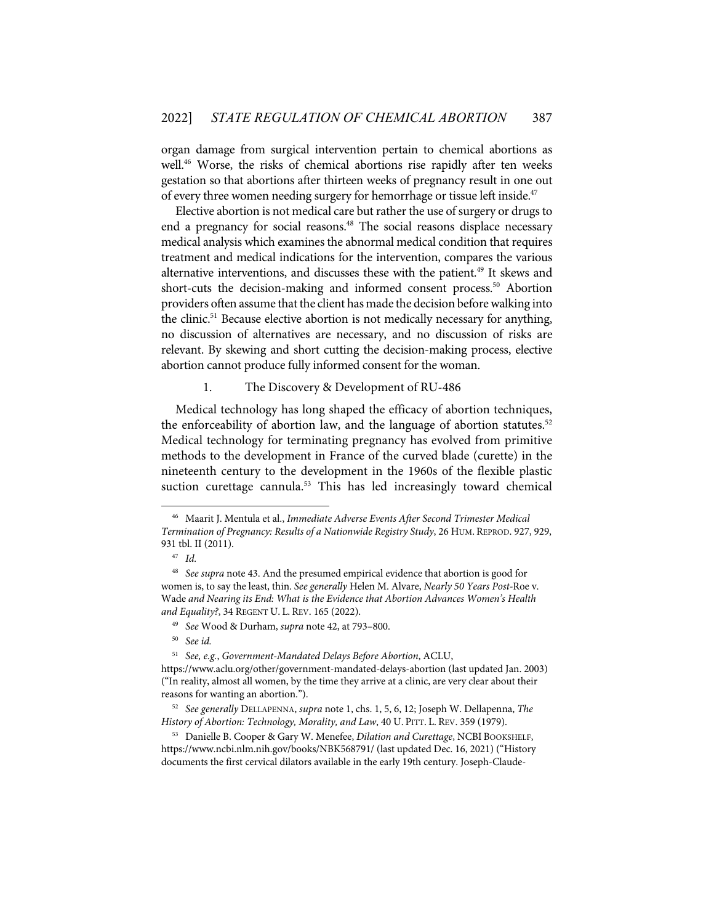organ damage from surgical intervention pertain to chemical abortions as well.<sup>46</sup> Worse, the risks of chemical abortions rise rapidly after ten weeks gestation so that abortions after thirteen weeks of pregnancy result in one out of every three women needing surgery for hemorrhage or tissue left inside.<sup>47</sup>

Elective abortion is not medical care but rather the use of surgery or drugs to end a pregnancy for social reasons.<sup>48</sup> The social reasons displace necessary medical analysis which examines the abnormal medical condition that requires treatment and medical indications for the intervention, compares the various alternative interventions, and discusses these with the patient. <sup>49</sup> It skews and short-cuts the decision-making and informed consent process. <sup>50</sup> Abortion providers often assume that the client has made the decision before walking into the clinic. <sup>51</sup> Because elective abortion is not medically necessary for anything, no discussion of alternatives are necessary, and no discussion of risks are relevant. By skewing and short cutting the decision-making process, elective abortion cannot produce fully informed consent for the woman.

#### 1. The Discovery & Development of RU-486

Medical technology has long shaped the efficacy of abortion techniques, the enforceability of abortion law, and the language of abortion statutes.<sup>52</sup> Medical technology for terminating pregnancy has evolved from primitive methods to the development in France of the curved blade (curette) in the nineteenth century to the development in the 1960s of the flexible plastic suction curettage cannula.<sup>53</sup> This has led increasingly toward chemical

<sup>46</sup> Maarit J. Mentula et al., *Immediate Adverse Events After Second Trimester Medical Termination of Pregnancy: Results of a Nationwide Registry Study*, 26 HUM. REPROD. 927, 929, 931 tbl. II (2011).

<sup>47</sup> *Id.*

<sup>48</sup> *See supra* note 43. And the presumed empirical evidence that abortion is good for women is, to say the least, thin. *See generally* Helen M. Alvare, *Nearly 50 Years Post-*Roe v. Wade *and Nearing its End: What is the Evidence that Abortion Advances Women's Health and Equality?*, 34 REGENT U. L. REV. 165 (2022).

<sup>49</sup> *See* Wood & Durham, *supra* note 42, at 793–800.

<sup>50</sup> *See id.*

<sup>51</sup> *See, e.g.*, *Government-Mandated Delays Before Abortion*, ACLU,

https://www.aclu.org/other/government-mandated-delays-abortion (last updated Jan. 2003) ("In reality, almost all women, by the time they arrive at a clinic, are very clear about their reasons for wanting an abortion.").

<sup>52</sup> *See generally* DELLAPENNA, *supra* note 1, chs. 1, 5, 6, 12; Joseph W. Dellapenna, *The History of Abortion: Technology, Morality, and Law*, 40 U. PITT. L. REV. 359 (1979).

<sup>53</sup> Danielle B. Cooper & Gary W. Menefee, *Dilation and Curettage*, NCBI BOOKSHELF, https://www.ncbi.nlm.nih.gov/books/NBK568791/ (last updated Dec. 16, 2021) ("History documents the first cervical dilators available in the early 19th century. Joseph-Claude-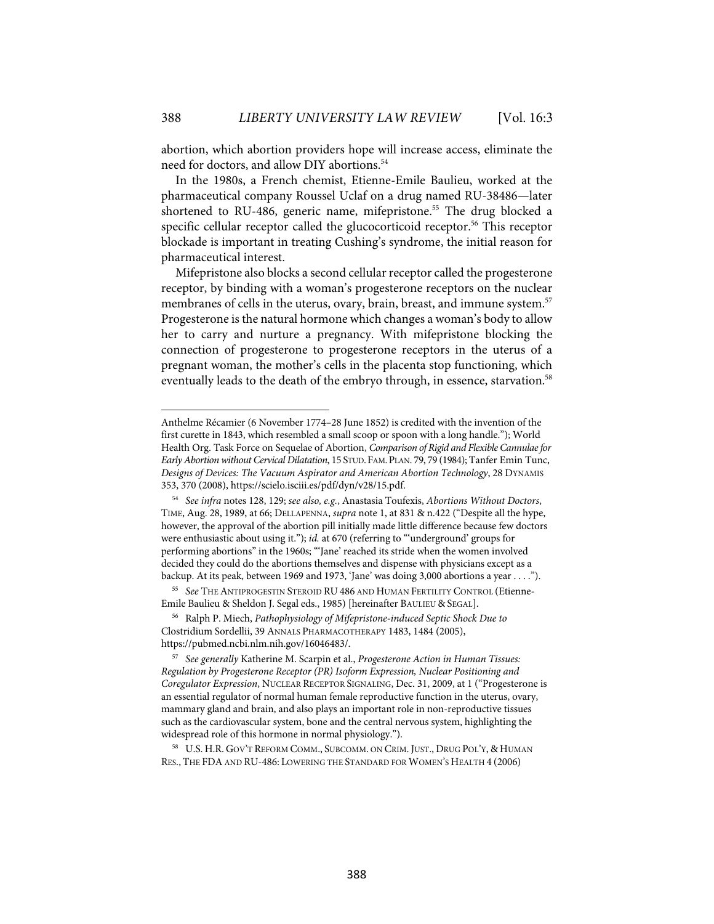abortion, which abortion providers hope will increase access, eliminate the need for doctors, and allow DIY abortions.<sup>54</sup>

In the 1980s, a French chemist, Etienne-Emile Baulieu, worked at the pharmaceutical company Roussel Uclaf on a drug named RU-38486—later shortened to RU-486, generic name, mifepristone. <sup>55</sup> The drug blocked a specific cellular receptor called the glucocorticoid receptor. <sup>56</sup> This receptor blockade is important in treating Cushing's syndrome, the initial reason for pharmaceutical interest.

Mifepristone also blocks a second cellular receptor called the progesterone receptor, by binding with a woman's progesterone receptors on the nuclear membranes of cells in the uterus, ovary, brain, breast, and immune system. 57 Progesterone is the natural hormone which changes a woman's body to allow her to carry and nurture a pregnancy. With mifepristone blocking the connection of progesterone to progesterone receptors in the uterus of a pregnant woman, the mother's cells in the placenta stop functioning, which eventually leads to the death of the embryo through, in essence, starvation. 58

Anthelme Récamier (6 November 1774–28 June 1852) is credited with the invention of the first curette in 1843, which resembled a small scoop or spoon with a long handle."); World Health Org. Task Force on Sequelae of Abortion, *Comparison of Rigid and Flexible Cannulae for Early Abortion without Cervical Dilatation*, 15 STUD.FAM.PLAN. 79, 79 (1984); Tanfer Emin Tunc, *Designs of Devices: The Vacuum Aspirator and American Abortion Technology*, 28 DYNAMIS 353, 370 (2008), https://scielo.isciii.es/pdf/dyn/v28/15.pdf.

<sup>54</sup> *See infra* notes 128, 129; *see also, e.g.*, Anastasia Toufexis, *Abortions Without Doctors*, TIME, Aug. 28, 1989, at 66; DELLAPENNA, *supra* note 1, at 831 & n.422 ("Despite all the hype, however, the approval of the abortion pill initially made little difference because few doctors were enthusiastic about using it."); *id.* at 670 (referring to "'underground' groups for performing abortions" in the 1960s; "'Jane' reached its stride when the women involved decided they could do the abortions themselves and dispense with physicians except as a backup. At its peak, between 1969 and 1973, 'Jane' was doing 3,000 abortions a year . . . .").

<sup>55</sup> *See* THE ANTIPROGESTIN STEROID RU 486 AND HUMAN FERTILITY CONTROL (Etienne-Emile Baulieu & Sheldon J. Segal eds., 1985) [hereinafter BAULIEU & SEGAL].

<sup>56</sup> Ralph P. Miech, *Pathophysiology of Mifepristone-induced Septic Shock Due to*  Clostridium Sordellii, 39 ANNALS PHARMACOTHERAPY 1483, 1484 (2005), https://pubmed.ncbi.nlm.nih.gov/16046483/.

<sup>57</sup> *See generally* Katherine M. Scarpin et al., *Progesterone Action in Human Tissues: Regulation by Progesterone Receptor (PR) Isoform Expression, Nuclear Positioning and Coregulator Expression*, NUCLEAR RECEPTOR SIGNALING, Dec. 31, 2009, at 1 ("Progesterone is an essential regulator of normal human female reproductive function in the uterus, ovary, mammary gland and brain, and also plays an important role in non-reproductive tissues such as the cardiovascular system, bone and the central nervous system, highlighting the widespread role of this hormone in normal physiology.").

<sup>58</sup> U.S. H.R. GOV'T REFORM COMM., SUBCOMM. ON CRIM. JUST., DRUG POL'Y, & HUMAN RES., THE FDA AND RU-486: LOWERING THE STANDARD FOR WOMEN'S HEALTH 4 (2006)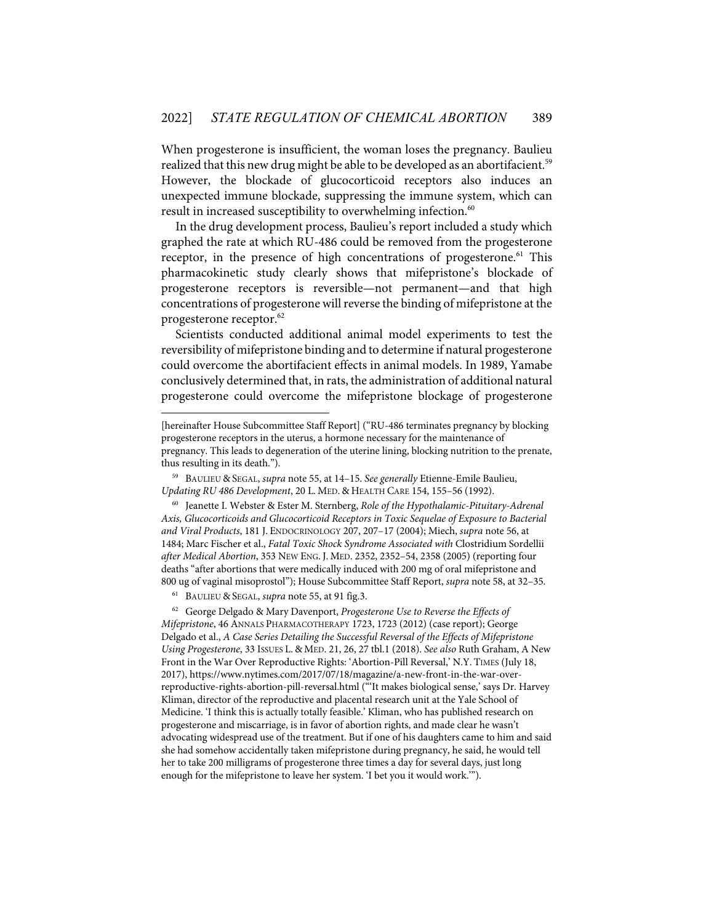When progesterone is insufficient, the woman loses the pregnancy. Baulieu realized that this new drug might be able to be developed as an abortifacient.<sup>59</sup> However, the blockade of glucocorticoid receptors also induces an unexpected immune blockade, suppressing the immune system, which can result in increased susceptibility to overwhelming infection.<sup>60</sup>

In the drug development process, Baulieu's report included a study which graphed the rate at which RU-486 could be removed from the progesterone receptor, in the presence of high concentrations of progesterone.<sup>61</sup> This pharmacokinetic study clearly shows that mifepristone's blockade of progesterone receptors is reversible—not permanent—and that high concentrations of progesterone will reverse the binding of mifepristone at the progesterone receptor.<sup>62</sup>

Scientists conducted additional animal model experiments to test the reversibility of mifepristone binding and to determine if natural progesterone could overcome the abortifacient effects in animal models. In 1989, Yamabe conclusively determined that, in rats, the administration of additional natural progesterone could overcome the mifepristone blockage of progesterone

61 BAULIEU & SEGAL, *supra* note 55, at 91 fig.3.

62 George Delgado & Mary Davenport, *Progesterone Use to Reverse the Effects of Mifepristone*, 46 ANNALS PHARMACOTHERAPY 1723, 1723 (2012) (case report); George Delgado et al., *A Case Series Detailing the Successful Reversal of the Effects of Mifepristone Using Progesterone*, 33 ISSUES L. & MED. 21, 26, 27 tbl.1 (2018). *See also* Ruth Graham, A New Front in the War Over Reproductive Rights: 'Abortion-Pill Reversal,' N.Y. TIMES (July 18, 2017), https://www.nytimes.com/2017/07/18/magazine/a-new-front-in-the-war-overreproductive-rights-abortion-pill-reversal.html ("'It makes biological sense,' says Dr. Harvey Kliman, director of the reproductive and placental research unit at the Yale School of Medicine. 'I think this is actually totally feasible.' Kliman, who has published research on progesterone and miscarriage, is in favor of abortion rights, and made clear he wasn't advocating widespread use of the treatment. But if one of his daughters came to him and said she had somehow accidentally taken mifepristone during pregnancy, he said, he would tell her to take 200 milligrams of progesterone three times a day for several days, just long enough for the mifepristone to leave her system. 'I bet you it would work.'").

<sup>[</sup>hereinafter House Subcommittee Staff Report] ("RU-486 terminates pregnancy by blocking progesterone receptors in the uterus, a hormone necessary for the maintenance of pregnancy. This leads to degeneration of the uterine lining, blocking nutrition to the prenate, thus resulting in its death.").

<sup>59</sup> BAULIEU & SEGAL, *supra* note 55, at 14–15. *See generally* Etienne-Emile Baulieu, *Updating RU 486 Development*, 20 L. MED. & HEALTH CARE 154, 155–56 (1992).

<sup>60</sup> Jeanette I. Webster & Ester M. Sternberg, *Role of the Hypothalamic-Pituitary-Adrenal Axis, Glucocorticoids and Glucocorticoid Receptors in Toxic Sequelae of Exposure to Bacterial and Viral Products*, 181 J. ENDOCRINOLOGY 207, 207–17 (2004); Miech, *supra* note 56, at 1484; Marc Fischer et al., *Fatal Toxic Shock Syndrome Associated with* Clostridium Sordellii *after Medical Abortion*, 353 NEW ENG. J. MED. 2352, 2352–54, 2358 (2005) (reporting four deaths "after abortions that were medically induced with 200 mg of oral mifepristone and 800 ug of vaginal misoprostol"); House Subcommittee Staff Report, *supra* note 58, at 32–35.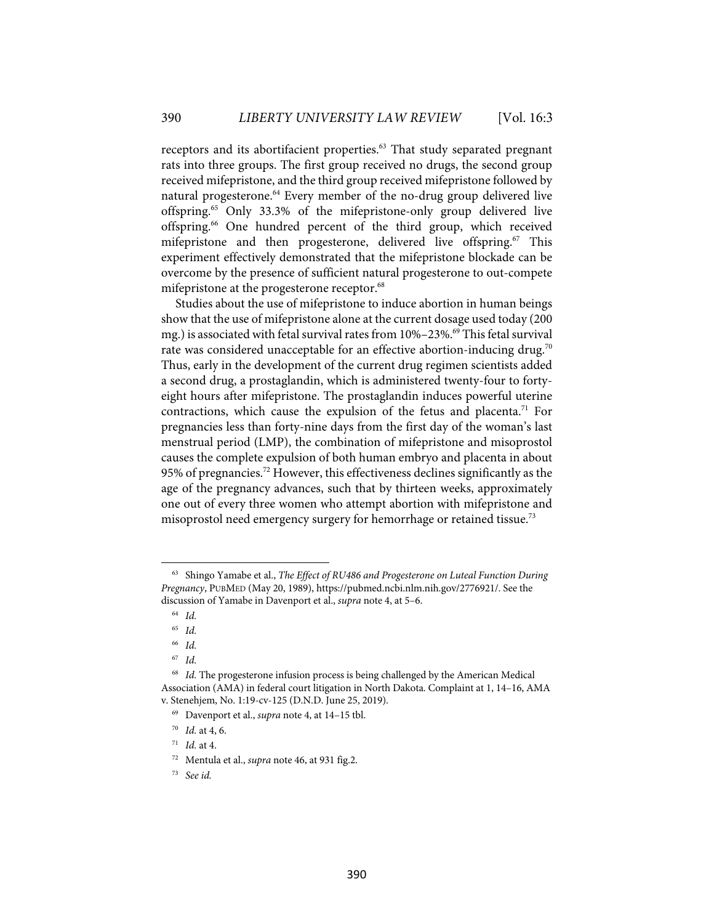receptors and its abortifacient properties. <sup>63</sup> That study separated pregnant rats into three groups. The first group received no drugs, the second group received mifepristone, and the third group received mifepristone followed by natural progesterone.<sup>64</sup> Every member of the no-drug group delivered live offspring.65 Only 33.3% of the mifepristone-only group delivered live offspring.66 One hundred percent of the third group, which received mifepristone and then progesterone, delivered live offspring.<sup>67</sup> This experiment effectively demonstrated that the mifepristone blockade can be overcome by the presence of sufficient natural progesterone to out-compete mifepristone at the progesterone receptor.<sup>68</sup>

Studies about the use of mifepristone to induce abortion in human beings show that the use of mifepristone alone at the current dosage used today (200 mg.) is associated with fetal survival rates from 10%-23%.<sup>69</sup> This fetal survival rate was considered unacceptable for an effective abortion-inducing drug. $^{70}$ Thus, early in the development of the current drug regimen scientists added a second drug, a prostaglandin, which is administered twenty-four to fortyeight hours after mifepristone. The prostaglandin induces powerful uterine contractions, which cause the expulsion of the fetus and placenta.<sup>71</sup> For pregnancies less than forty-nine days from the first day of the woman's last menstrual period (LMP), the combination of mifepristone and misoprostol causes the complete expulsion of both human embryo and placenta in about 95% of pregnancies.72 However, this effectiveness declines significantly as the age of the pregnancy advances, such that by thirteen weeks, approximately one out of every three women who attempt abortion with mifepristone and misoprostol need emergency surgery for hemorrhage or retained tissue.<sup>73</sup>

<sup>63</sup> Shingo Yamabe et al., *The Effect of RU486 and Progesterone on Luteal Function During Pregnancy*, PUBMED (May 20, 1989), https://pubmed.ncbi.nlm.nih.gov/2776921/. See the discussion of Yamabe in Davenport et al., *supra* note 4, at 5–6.

<sup>64</sup> *Id.*

<sup>65</sup> *Id.*

<sup>66</sup> *Id.*

<sup>67</sup> *Id.*

<sup>&</sup>lt;sup>68</sup> Id. The progesterone infusion process is being challenged by the American Medical Association (AMA) in federal court litigation in North Dakota. Complaint at 1, 14–16, AMA v. Stenehjem, No. 1:19-cv-125 (D.N.D. June 25, 2019).

<sup>69</sup> Davenport et al., *supra* note 4, at 14–15 tbl.

<sup>70</sup> *Id.* at 4, 6.

<sup>71</sup> *Id.* at 4.

<sup>72</sup> Mentula et al., *supra* note 46, at 931 fig.2.

<sup>73</sup> *See id.*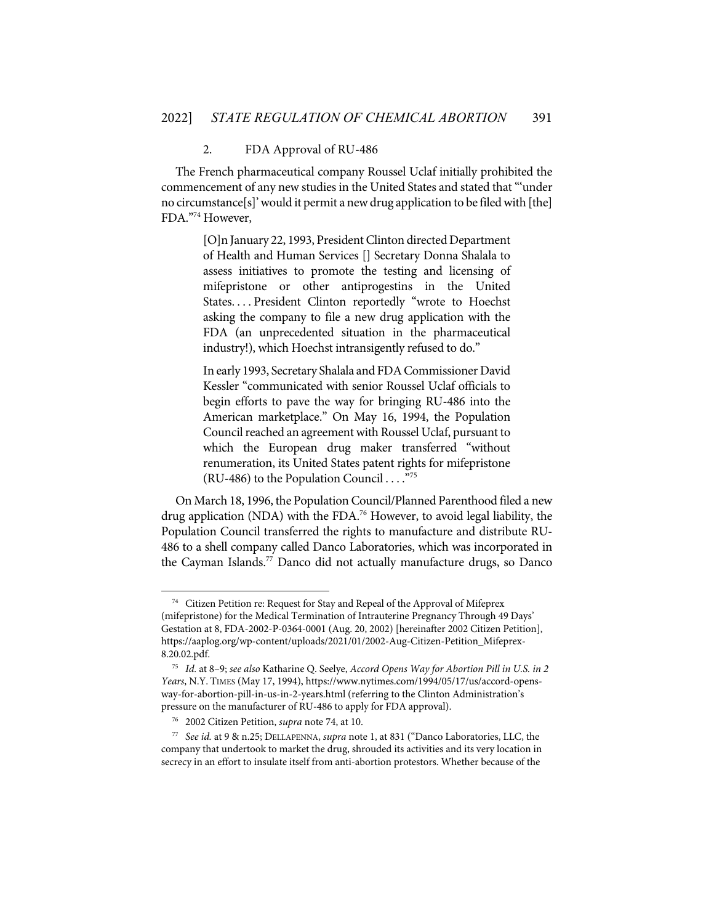#### 2. FDA Approval of RU-486

The French pharmaceutical company Roussel Uclaf initially prohibited the commencement of any new studies in the United States and stated that "'under no circumstance[s]'would it permit a new drug application to be filed with [the] FDA."74 However,

> [O]n January 22, 1993, President Clinton directed Department of Health and Human Services [] Secretary Donna Shalala to assess initiatives to promote the testing and licensing of mifepristone or other antiprogestins in the United States. . . . President Clinton reportedly "wrote to Hoechst asking the company to file a new drug application with the FDA (an unprecedented situation in the pharmaceutical industry!), which Hoechst intransigently refused to do."

> In early 1993, Secretary Shalala and FDA Commissioner David Kessler "communicated with senior Roussel Uclaf officials to begin efforts to pave the way for bringing RU-486 into the American marketplace." On May 16, 1994, the Population Council reached an agreement with Roussel Uclaf, pursuant to which the European drug maker transferred "without renumeration, its United States patent rights for mifepristone (RU-486) to the Population Council . . . ."75

On March 18, 1996, the Population Council/Planned Parenthood filed a new drug application (NDA) with the FDA.<sup>76</sup> However, to avoid legal liability, the Population Council transferred the rights to manufacture and distribute RU-486 to a shell company called Danco Laboratories, which was incorporated in the Cayman Islands.<sup>77</sup> Danco did not actually manufacture drugs, so Danco

<sup>&</sup>lt;sup>74</sup> Citizen Petition re: Request for Stay and Repeal of the Approval of Mifeprex (mifepristone) for the Medical Termination of Intrauterine Pregnancy Through 49 Days' Gestation at 8, FDA-2002-P-0364-0001 (Aug. 20, 2002) [hereinafter 2002 Citizen Petition], https://aaplog.org/wp-content/uploads/2021/01/2002-Aug-Citizen-Petition\_Mifeprex-8.20.02.pdf.

<sup>75</sup> *Id.* at 8–9; *see also* Katharine Q. Seelye, *Accord Opens Way for Abortion Pill in U.S. in 2 Years*, N.Y. TIMES (May 17, 1994), https://www.nytimes.com/1994/05/17/us/accord-opensway-for-abortion-pill-in-us-in-2-years.html (referring to the Clinton Administration's pressure on the manufacturer of RU-486 to apply for FDA approval).

<sup>76 2002</sup> Citizen Petition, *supra* note 74, at 10.

<sup>77</sup> *See id.* at 9 & n.25; DELLAPENNA, *supra* note 1, at 831 ("Danco Laboratories, LLC, the company that undertook to market the drug, shrouded its activities and its very location in secrecy in an effort to insulate itself from anti-abortion protestors. Whether because of the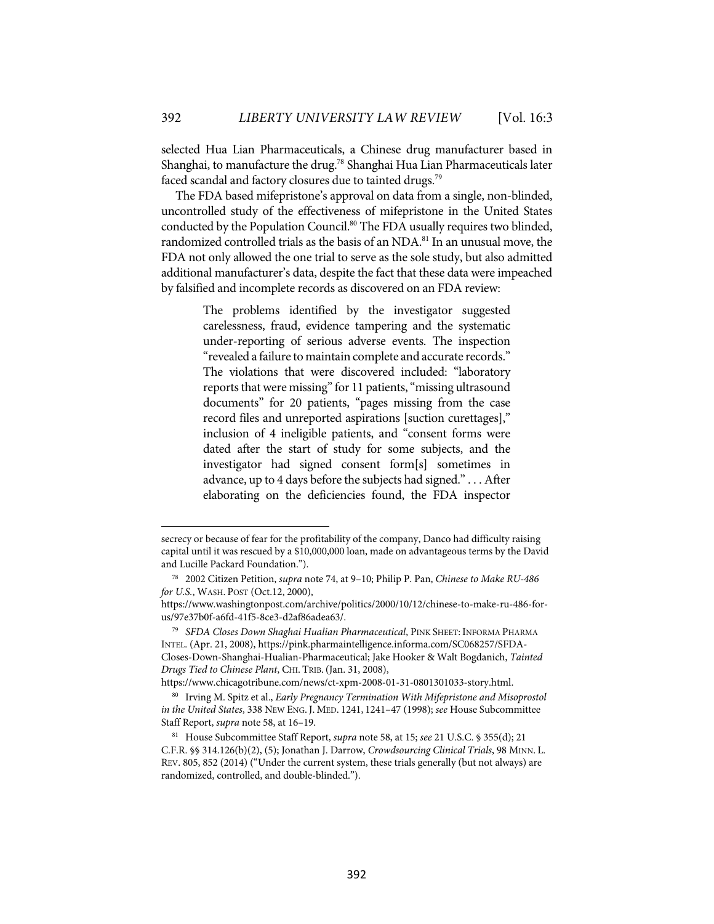selected Hua Lian Pharmaceuticals, a Chinese drug manufacturer based in Shanghai, to manufacture the drug. <sup>78</sup> Shanghai Hua Lian Pharmaceuticals later faced scandal and factory closures due to tainted drugs.<sup>79</sup>

The FDA based mifepristone's approval on data from a single, non-blinded, uncontrolled study of the effectiveness of mifepristone in the United States conducted by the Population Council. <sup>80</sup> The FDA usually requires two blinded, randomized controlled trials as the basis of an NDA.<sup>81</sup> In an unusual move, the FDA not only allowed the one trial to serve as the sole study, but also admitted additional manufacturer's data, despite the fact that these data were impeached by falsified and incomplete records as discovered on an FDA review:

> The problems identified by the investigator suggested carelessness, fraud, evidence tampering and the systematic under-reporting of serious adverse events. The inspection "revealed a failure to maintain complete and accurate records." The violations that were discovered included: "laboratory reports that were missing" for 11 patients, "missing ultrasound documents" for 20 patients, "pages missing from the case record files and unreported aspirations [suction curettages]," inclusion of 4 ineligible patients, and "consent forms were dated after the start of study for some subjects, and the investigator had signed consent form[s] sometimes in advance, up to 4 days before the subjects had signed." . . . After elaborating on the deficiencies found, the FDA inspector

https://www.chicagotribune.com/news/ct-xpm-2008-01-31-0801301033-story.html.

secrecy or because of fear for the profitability of the company, Danco had difficulty raising capital until it was rescued by a \$10,000,000 loan, made on advantageous terms by the David and Lucille Packard Foundation.").

<sup>78 2002</sup> Citizen Petition, *supra* note 74, at 9–10; Philip P. Pan, *Chinese to Make RU-486 for U.S.*, WASH. POST (Oct.12, 2000),

https://www.washingtonpost.com/archive/politics/2000/10/12/chinese-to-make-ru-486-forus/97e37b0f-a6fd-41f5-8ce3-d2af86adea63/.

<sup>79</sup> *SFDA Closes Down Shaghai Hualian Pharmaceutical*, PINK SHEET: INFORMA PHARMA INTEL. (Apr. 21, 2008), https://pink.pharmaintelligence.informa.com/SC068257/SFDA-Closes-Down-Shanghai-Hualian-Pharmaceutical; Jake Hooker & Walt Bogdanich, *Tainted Drugs Tied to Chinese Plant*, CHI. TRIB.(Jan. 31, 2008),

<sup>80</sup> Irving M. Spitz et al., *Early Pregnancy Termination With Mifepristone and Misoprostol in the United States*, 338 NEW ENG. J. MED. 1241, 1241–47 (1998); *see* House Subcommittee Staff Report, *supra* note 58, at 16–19.

<sup>81</sup> House Subcommittee Staff Report, *supra* note 58, at 15; *see* 21 U.S.C. § 355(d); 21 C.F.R. §§ 314.126(b)(2), (5); Jonathan J. Darrow, *Crowdsourcing Clinical Trials*, 98 MINN. L. REV. 805, 852 (2014) ("Under the current system, these trials generally (but not always) are randomized, controlled, and double-blinded.").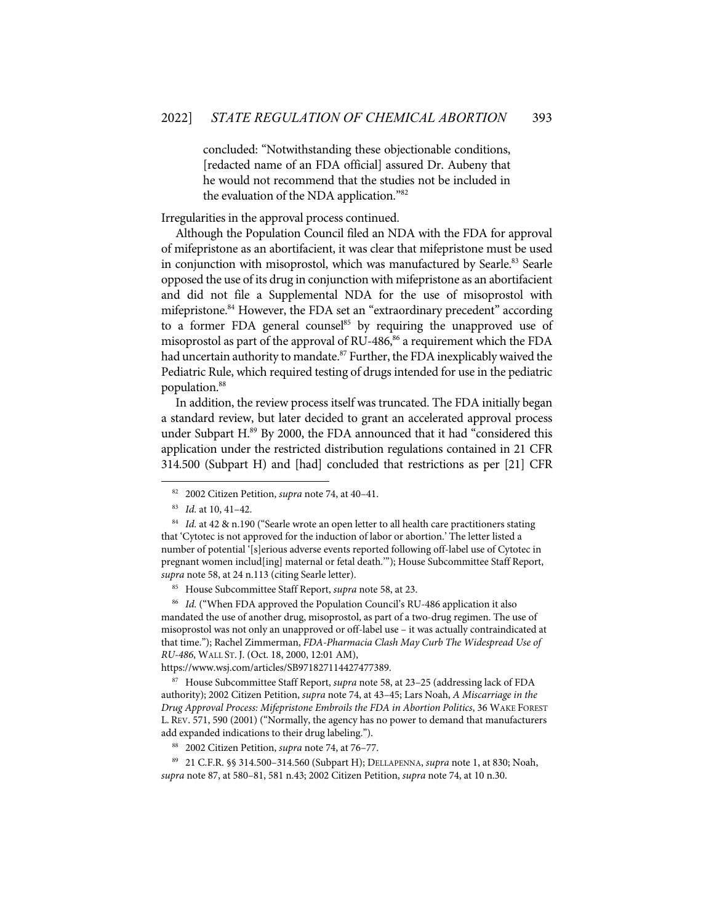concluded: "Notwithstanding these objectionable conditions, [redacted name of an FDA official] assured Dr. Aubeny that he would not recommend that the studies not be included in the evaluation of the NDA application."82

Irregularities in the approval process continued.

Although the Population Council filed an NDA with the FDA for approval of mifepristone as an abortifacient, it was clear that mifepristone must be used in conjunction with misoprostol, which was manufactured by Searle.<sup>83</sup> Searle opposed the use of its drug in conjunction with mifepristone as an abortifacient and did not file a Supplemental NDA for the use of misoprostol with mifepristone. <sup>84</sup> However, the FDA set an "extraordinary precedent" according to a former FDA general counsel $85$  by requiring the unapproved use of misoprostol as part of the approval of RU-486, <sup>86</sup> a requirement which the FDA had uncertain authority to mandate. <sup>87</sup> Further, the FDA inexplicably waived the Pediatric Rule, which required testing of drugs intended for use in the pediatric population.88

In addition, the review process itself was truncated. The FDA initially began a standard review, but later decided to grant an accelerated approval process under Subpart H. <sup>89</sup> By 2000, the FDA announced that it had "considered this application under the restricted distribution regulations contained in 21 CFR 314.500 (Subpart H) and [had] concluded that restrictions as per [21] CFR

86 *Id.* ("When FDA approved the Population Council's RU-486 application it also mandated the use of another drug, misoprostol, as part of a two-drug regimen. The use of misoprostol was not only an unapproved or off-label use – it was actually contraindicated at that time."); Rachel Zimmerman, *FDA-Pharmacia Clash May Curb The Widespread Use of RU-486*, WALL ST. J. (Oct. 18, 2000, 12:01 AM),

https://www.wsj.com/articles/SB971827114427477389.

87 House Subcommittee Staff Report, *supra* note 58, at 23–25 (addressing lack of FDA authority); 2002 Citizen Petition, *supra* note 74, at 43–45; Lars Noah, *A Miscarriage in the Drug Approval Process: Mifepristone Embroils the FDA in Abortion Politics*, 36 WAKE FOREST L. REV. 571, 590 (2001) ("Normally, the agency has no power to demand that manufacturers add expanded indications to their drug labeling.").

88 2002 Citizen Petition, *supra* note 74, at 76–77.

89 21 C.F.R. §§ 314.500–314.560 (Subpart H); DELLAPENNA, *supra* note 1, at 830; Noah, *supra* note 87, at 580–81, 581 n.43; 2002 Citizen Petition, *supra* note 74, at 10 n.30.

<sup>82 2002</sup> Citizen Petition, *supra* note 74, at 40–41.

<sup>83</sup> *Id.* at 10, 41–42.

<sup>&</sup>lt;sup>84</sup> *Id.* at 42 & n.190 ("Searle wrote an open letter to all health care practitioners stating that 'Cytotec is not approved for the induction of labor or abortion.' The letter listed a number of potential '[s]erious adverse events reported following off-label use of Cytotec in pregnant women includ[ing] maternal or fetal death.'"); House Subcommittee Staff Report, *supra* note 58, at 24 n.113 (citing Searle letter).

<sup>85</sup> House Subcommittee Staff Report, *supra* note 58, at 23.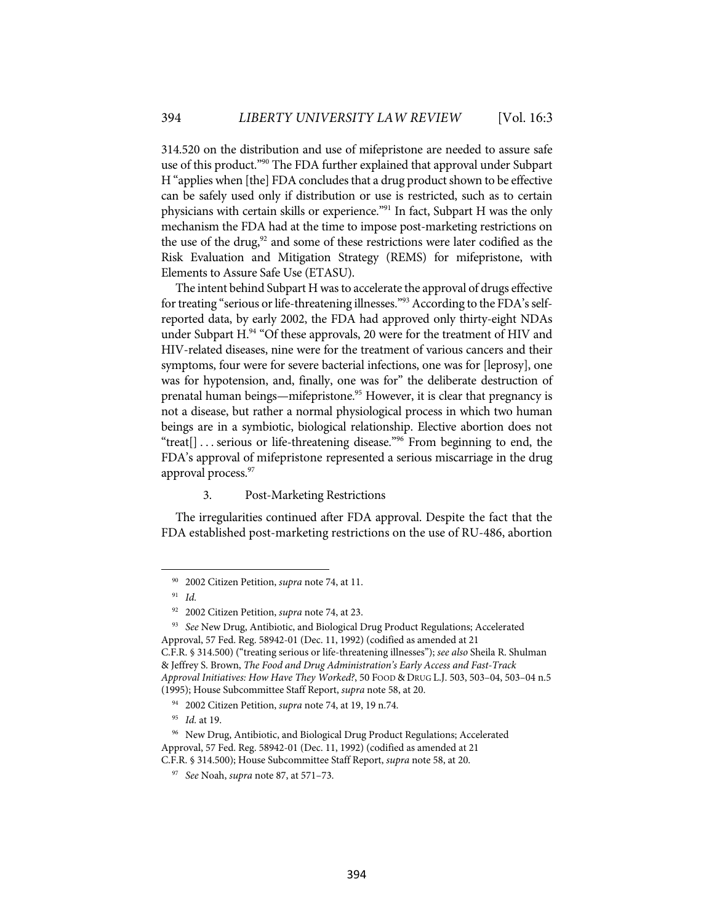314.520 on the distribution and use of mifepristone are needed to assure safe use of this product."90 The FDA further explained that approval under Subpart H "applies when [the] FDA concludes that a drug product shown to be effective can be safely used only if distribution or use is restricted, such as to certain physicians with certain skills or experience."91 In fact, Subpart H was the only mechanism the FDA had at the time to impose post-marketing restrictions on the use of the drug,<sup>92</sup> and some of these restrictions were later codified as the Risk Evaluation and Mitigation Strategy (REMS) for mifepristone, with Elements to Assure Safe Use (ETASU).

The intent behind Subpart H was to accelerate the approval of drugs effective for treating "serious or life-threatening illnesses."<sup>93</sup> According to the FDA's selfreported data, by early 2002, the FDA had approved only thirty-eight NDAs under Subpart H.<sup>94</sup> "Of these approvals, 20 were for the treatment of HIV and HIV-related diseases, nine were for the treatment of various cancers and their symptoms, four were for severe bacterial infections, one was for [leprosy], one was for hypotension, and, finally, one was for" the deliberate destruction of prenatal human beings—mifepristone. <sup>95</sup> However, it is clear that pregnancy is not a disease, but rather a normal physiological process in which two human beings are in a symbiotic, biological relationship. Elective abortion does not "treat[] . . . serious or life-threatening disease."96 From beginning to end, the FDA's approval of mifepristone represented a serious miscarriage in the drug approval process.<sup>97</sup>

#### 3. Post-Marketing Restrictions

The irregularities continued after FDA approval. Despite the fact that the FDA established post-marketing restrictions on the use of RU-486, abortion

<sup>90 2002</sup> Citizen Petition, *supra* note 74, at 11.

<sup>91</sup> *Id.*

<sup>92 2002</sup> Citizen Petition, *supra* note 74, at 23.

<sup>93</sup> *See* New Drug, Antibiotic, and Biological Drug Product Regulations; Accelerated Approval, 57 Fed. Reg. 58942-01 (Dec. 11, 1992) (codified as amended at 21 C.F.R. § 314.500) ("treating serious or life-threatening illnesses"); *see also* Sheila R. Shulman & Jeffrey S. Brown, *The Food and Drug Administration's Early Access and Fast-Track Approval Initiatives: How Have They Worked?*, 50 FOOD & DRUG L.J. 503, 503–04, 503–04 n.5 (1995); House Subcommittee Staff Report, *supra* note 58, at 20.

<sup>94 2002</sup> Citizen Petition, *supra* note 74, at 19, 19 n.74.

<sup>95</sup> *Id.* at 19.

<sup>&</sup>lt;sup>96</sup> New Drug, Antibiotic, and Biological Drug Product Regulations; Accelerated Approval, 57 Fed. Reg. 58942-01 (Dec. 11, 1992) (codified as amended at 21 C.F.R. § 314.500); House Subcommittee Staff Report, *supra* note 58, at 20.

<sup>97</sup> *See* Noah, *supra* note 87, at 571–73.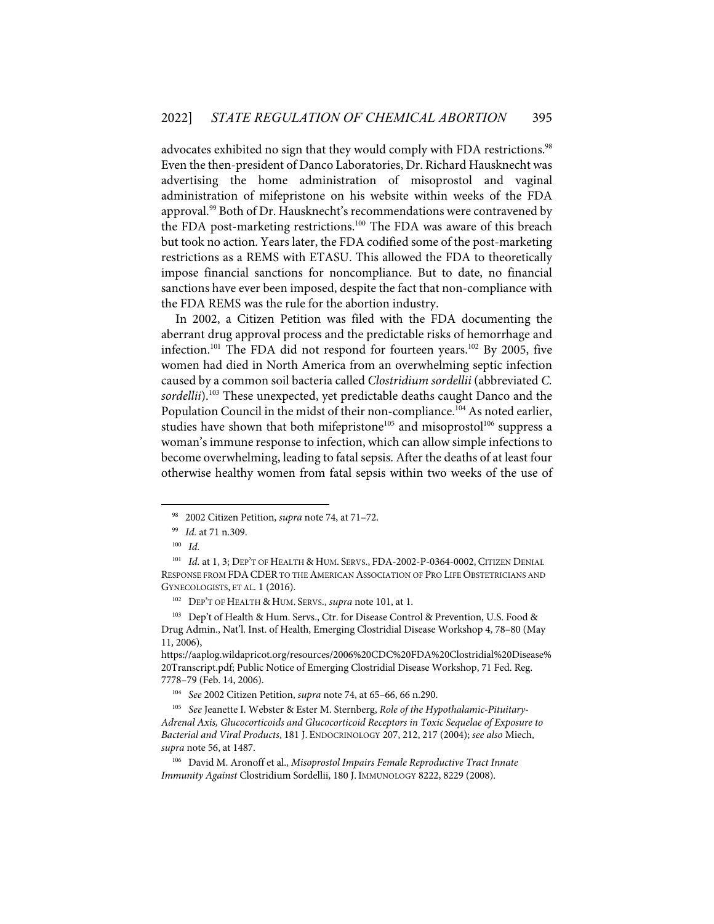advocates exhibited no sign that they would comply with FDA restrictions.<sup>98</sup> Even the then-president of Danco Laboratories, Dr. Richard Hausknecht was advertising the home administration of misoprostol and vaginal administration of mifepristone on his website within weeks of the FDA approval.<sup>99</sup> Both of Dr. Hausknecht's recommendations were contravened by the FDA post-marketing restrictions.<sup>100</sup> The FDA was aware of this breach but took no action. Years later, the FDA codified some of the post-marketing restrictions as a REMS with ETASU. This allowed the FDA to theoretically impose financial sanctions for noncompliance. But to date, no financial sanctions have ever been imposed, despite the fact that non-compliance with the FDA REMS was the rule for the abortion industry.

In 2002, a Citizen Petition was filed with the FDA documenting the aberrant drug approval process and the predictable risks of hemorrhage and infection.<sup>101</sup> The FDA did not respond for fourteen years.<sup>102</sup> By 2005, five women had died in North America from an overwhelming septic infection caused by a common soil bacteria called *Clostridium sordellii* (abbreviated *C. sordellii*). <sup>103</sup> These unexpected, yet predictable deaths caught Danco and the Population Council in the midst of their non-compliance.<sup>104</sup> As noted earlier, studies have shown that both mifepristone<sup>105</sup> and misoprostol<sup>106</sup> suppress a woman's immune response to infection, which can allow simple infections to become overwhelming, leading to fatal sepsis. After the deaths of at least four otherwise healthy women from fatal sepsis within two weeks of the use of

<sup>98 2002</sup> Citizen Petition, *supra* note 74, at 71–72.

<sup>99</sup> *Id.* at 71 n.309.

<sup>100</sup> *Id.*

<sup>&</sup>lt;sup>101</sup> *Id.* at 1, 3; DEP'T OF HEALTH & HUM. SERVS., FDA-2002-P-0364-0002, CITIZEN DENIAL RESPONSE FROM FDACDER TO THE AMERICAN ASSOCIATION OF PRO LIFE OBSTETRICIANS AND GYNECOLOGISTS, ET AL. 1 (2016).

<sup>102</sup> DEP'T OF HEALTH & HUM. SERVS., *supra* note 101, at 1.

<sup>103</sup> Dep't of Health & Hum. Servs., Ctr. for Disease Control & Prevention, U.S. Food & Drug Admin., Nat'l. Inst. of Health, Emerging Clostridial Disease Workshop 4, 78–80 (May 11, 2006),

https://aaplog.wildapricot.org/resources/2006%20CDC%20FDA%20Clostridial%20Disease% 20Transcript.pdf; Public Notice of Emerging Clostridial Disease Workshop, 71 Fed. Reg. 7778–79 (Feb. 14, 2006).

<sup>104</sup> *See* 2002 Citizen Petition, *supra* note 74, at 65–66, 66 n.290.

<sup>105</sup> *See* Jeanette I. Webster & Ester M. Sternberg, *Role of the Hypothalamic-Pituitary-Adrenal Axis, Glucocorticoids and Glucocorticoid Receptors in Toxic Sequelae of Exposure to Bacterial and Viral Products*, 181 J. ENDOCRINOLOGY 207, 212, 217 (2004); *see also* Miech, *supra* note 56, at 1487.

<sup>106</sup> David M. Aronoff et al., *Misoprostol Impairs Female Reproductive Tract Innate Immunity Against* Clostridium Sordellii, 180 J. IMMUNOLOGY 8222, 8229 (2008).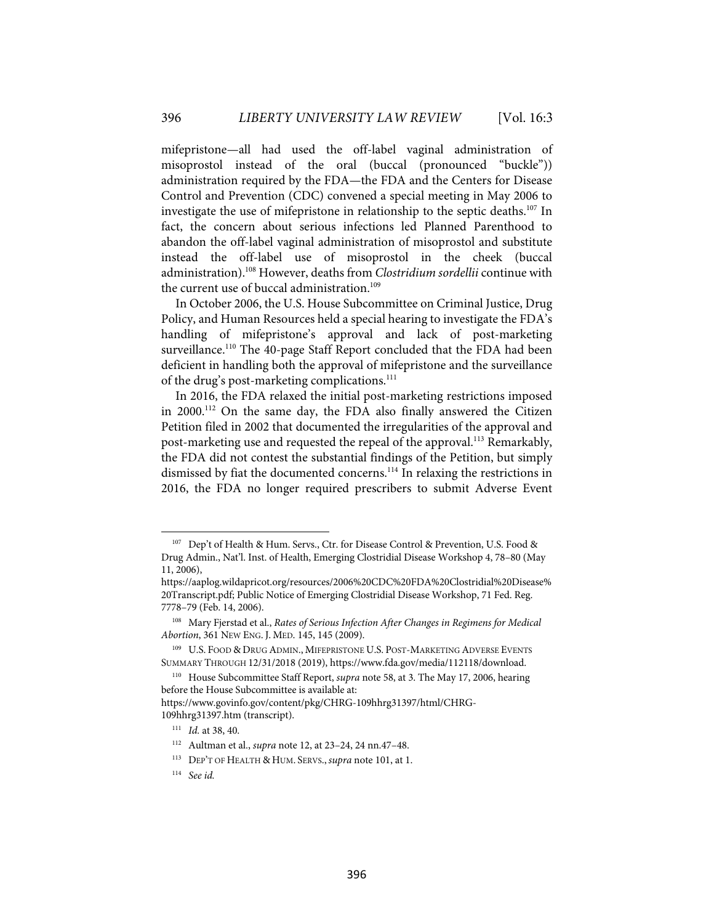mifepristone—all had used the off-label vaginal administration of misoprostol instead of the oral (buccal (pronounced "buckle")) administration required by the FDA—the FDA and the Centers for Disease Control and Prevention (CDC) convened a special meeting in May 2006 to investigate the use of mifepristone in relationship to the septic deaths.107 In fact, the concern about serious infections led Planned Parenthood to abandon the off-label vaginal administration of misoprostol and substitute instead the off-label use of misoprostol in the cheek (buccal administration). <sup>108</sup> However, deaths from *Clostridium sordellii* continue with the current use of buccal administration.<sup>109</sup>

In October 2006, the U.S. House Subcommittee on Criminal Justice, Drug Policy, and Human Resources held a special hearing to investigate the FDA's handling of mifepristone's approval and lack of post-marketing surveillance.<sup>110</sup> The 40-page Staff Report concluded that the FDA had been deficient in handling both the approval of mifepristone and the surveillance of the drug's post-marketing complications.<sup>111</sup>

In 2016, the FDA relaxed the initial post-marketing restrictions imposed in 2000. <sup>112</sup> On the same day, the FDA also finally answered the Citizen Petition filed in 2002 that documented the irregularities of the approval and post-marketing use and requested the repeal of the approval.<sup>113</sup> Remarkably, the FDA did not contest the substantial findings of the Petition, but simply dismissed by fiat the documented concerns. <sup>114</sup> In relaxing the restrictions in 2016, the FDA no longer required prescribers to submit Adverse Event

<sup>107</sup> Dep't of Health & Hum. Servs., Ctr. for Disease Control & Prevention, U.S. Food & Drug Admin., Nat'l. Inst. of Health, Emerging Clostridial Disease Workshop 4, 78–80 (May 11, 2006),

https://aaplog.wildapricot.org/resources/2006%20CDC%20FDA%20Clostridial%20Disease% 20Transcript.pdf; Public Notice of Emerging Clostridial Disease Workshop, 71 Fed. Reg. 7778–79 (Feb. 14, 2006).

<sup>108</sup> Mary Fjerstad et al., *Rates of Serious Infection After Changes in Regimens for Medical Abortion*, 361 NEW ENG. J. MED. 145, 145 (2009).

<sup>&</sup>lt;sup>109</sup> U.S. FOOD & DRUG ADMIN., MIFEPRISTONE U.S. POST-MARKETING ADVERSE EVENTS SUMMARY THROUGH 12/31/2018 (2019), https://www.fda.gov/media/112118/download.

<sup>110</sup> House Subcommittee Staff Report, *supra* note 58, at 3. The May 17, 2006, hearing before the House Subcommittee is available at:

https://www.govinfo.gov/content/pkg/CHRG-109hhrg31397/html/CHRG-109hhrg31397.htm (transcript).

<sup>111</sup> *Id.* at 38, 40.

<sup>112</sup> Aultman et al., *supra* note 12, at 23–24, 24 nn.47–48.

<sup>113</sup> DEP'T OF HEALTH & HUM. SERVS., *supra* note 101, at 1.

<sup>114</sup> *See id.*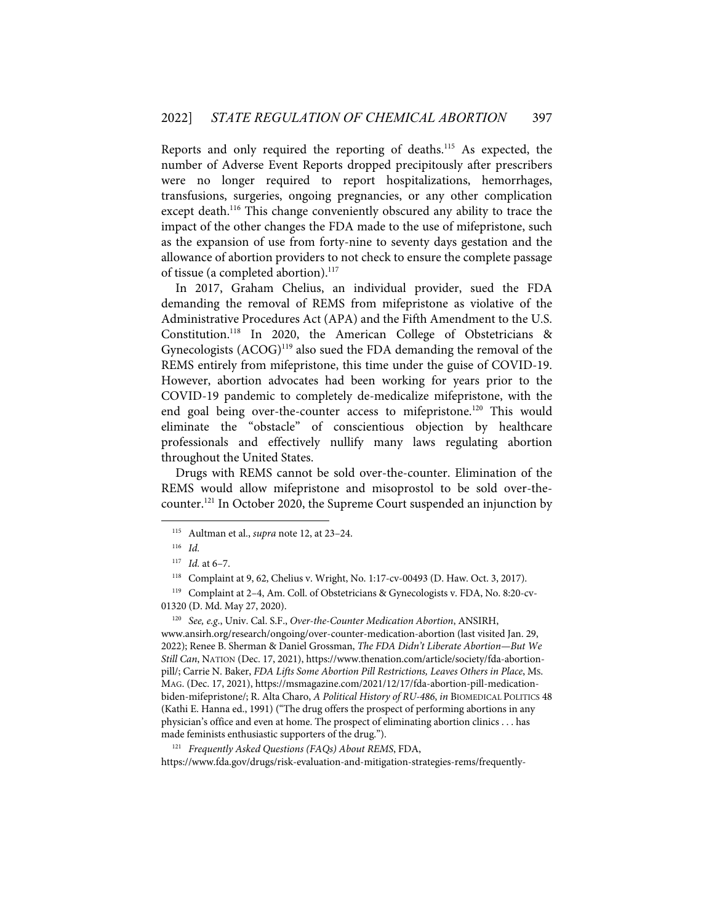Reports and only required the reporting of deaths.115 As expected, the number of Adverse Event Reports dropped precipitously after prescribers were no longer required to report hospitalizations, hemorrhages, transfusions, surgeries, ongoing pregnancies, or any other complication except death.<sup>116</sup> This change conveniently obscured any ability to trace the impact of the other changes the FDA made to the use of mifepristone, such as the expansion of use from forty-nine to seventy days gestation and the allowance of abortion providers to not check to ensure the complete passage of tissue (a completed abortion). 117

In 2017, Graham Chelius, an individual provider, sued the FDA demanding the removal of REMS from mifepristone as violative of the Administrative Procedures Act (APA) and the Fifth Amendment to the U.S. Constitution.118 In 2020, the American College of Obstetricians & Gynecologists (ACOG)<sup>119</sup> also sued the FDA demanding the removal of the REMS entirely from mifepristone, this time under the guise of COVID-19. However, abortion advocates had been working for years prior to the COVID-19 pandemic to completely de-medicalize mifepristone, with the end goal being over-the-counter access to mifepristone.<sup>120</sup> This would eliminate the "obstacle" of conscientious objection by healthcare professionals and effectively nullify many laws regulating abortion throughout the United States.

Drugs with REMS cannot be sold over-the-counter. Elimination of the REMS would allow mifepristone and misoprostol to be sold over-thecounter. <sup>121</sup> In October 2020, the Supreme Court suspended an injunction by

120 *See, e.g*., Univ. Cal. S.F., *Over-the-Counter Medication Abortion*, ANSIRH, www.ansirh.org/research/ongoing/over-counter-medication-abortion (last visited Jan. 29, 2022); Renee B. Sherman & Daniel Grossman, *The FDA Didn't Liberate Abortion—But We Still Can*, NATION (Dec. 17, 2021), https://www.thenation.com/article/society/fda-abortionpill/; Carrie N. Baker, *FDA Lifts Some Abortion Pill Restrictions, Leaves Others in Place*, MS. MAG. (Dec. 17, 2021), https://msmagazine.com/2021/12/17/fda-abortion-pill-medicationbiden-mifepristone/; R. Alta Charo, A Political History of RU-486, *in* BIOMEDICAL POLITICS 48 (Kathi E. Hanna ed., 1991) ("The drug offers the prospect of performing abortions in any physician's office and even at home. The prospect of eliminating abortion clinics . . . has made feminists enthusiastic supporters of the drug.").

121 *Frequently Asked Questions (FAQs) About REMS*, FDA, https://www.fda.gov/drugs/risk-evaluation-and-mitigation-strategies-rems/frequently-

<sup>115</sup> Aultman et al., *supra* note 12, at 23–24.

<sup>116</sup> *Id.*

<sup>117</sup> *Id.* at 6–7.

<sup>118</sup> Complaint at 9, 62, Chelius v. Wright, No. 1:17-cv-00493 (D. Haw. Oct. 3, 2017).

<sup>119</sup> Complaint at 2–4, Am. Coll. of Obstetricians & Gynecologists v. FDA, No. 8:20-cv-01320 (D. Md. May 27, 2020).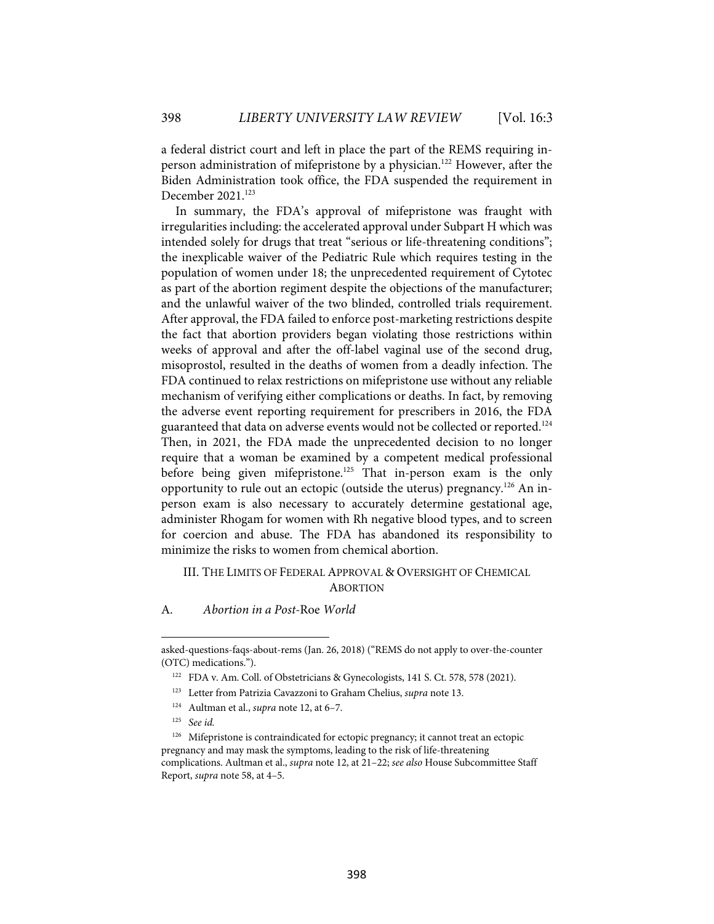a federal district court and left in place the part of the REMS requiring inperson administration of mifepristone by a physician. <sup>122</sup> However, after the Biden Administration took office, the FDA suspended the requirement in December 2021.<sup>123</sup>

In summary, the FDA's approval of mifepristone was fraught with irregularities including: the accelerated approval under Subpart H which was intended solely for drugs that treat "serious or life-threatening conditions"; the inexplicable waiver of the Pediatric Rule which requires testing in the population of women under 18; the unprecedented requirement of Cytotec as part of the abortion regiment despite the objections of the manufacturer; and the unlawful waiver of the two blinded, controlled trials requirement. After approval, the FDA failed to enforce post-marketing restrictions despite the fact that abortion providers began violating those restrictions within weeks of approval and after the off-label vaginal use of the second drug, misoprostol, resulted in the deaths of women from a deadly infection. The FDA continued to relax restrictions on mifepristone use without any reliable mechanism of verifying either complications or deaths. In fact, by removing the adverse event reporting requirement for prescribers in 2016, the FDA guaranteed that data on adverse events would not be collected or reported. 124 Then, in 2021, the FDA made the unprecedented decision to no longer require that a woman be examined by a competent medical professional before being given mifepristone.<sup>125</sup> That in-person exam is the only opportunity to rule out an ectopic (outside the uterus) pregnancy.<sup>126</sup> An inperson exam is also necessary to accurately determine gestational age, administer Rhogam for women with Rh negative blood types, and to screen for coercion and abuse. The FDA has abandoned its responsibility to minimize the risks to women from chemical abortion.

#### III. THE LIMITS OF FEDERAL APPROVAL & OVERSIGHT OF CHEMICAL **ABORTION**

A. *Abortion in a Post-*Roe *World*

asked-questions-faqs-about-rems (Jan. 26, 2018) ("REMS do not apply to over-the-counter (OTC) medications.").

<sup>122</sup> FDA v. Am. Coll. of Obstetricians & Gynecologists, 141 S. Ct. 578, 578 (2021).

<sup>123</sup> Letter from Patrizia Cavazzoni to Graham Chelius, *supra* note 13.

<sup>124</sup> Aultman et al., *supra* note 12, at 6–7.

<sup>125</sup> *See id.*

<sup>126</sup> Mifepristone is contraindicated for ectopic pregnancy; it cannot treat an ectopic pregnancy and may mask the symptoms, leading to the risk of life-threatening complications. Aultman et al., *supra* note 12, at 21–22; *see also* House Subcommittee Staff Report, *supra* note 58, at 4–5.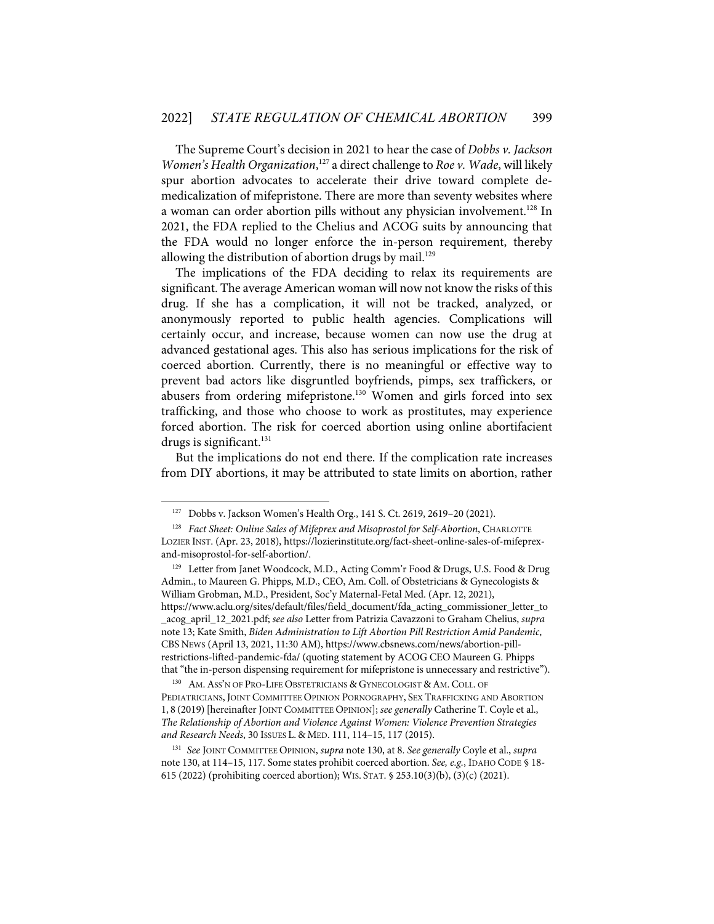The Supreme Court's decision in 2021 to hear the case of *Dobbs v. Jackson Women's Health Organization*, <sup>127</sup> a direct challenge to *Roe v. Wade*, will likely spur abortion advocates to accelerate their drive toward complete demedicalization of mifepristone. There are more than seventy websites where a woman can order abortion pills without any physician involvement.<sup>128</sup> In 2021, the FDA replied to the Chelius and ACOG suits by announcing that the FDA would no longer enforce the in-person requirement, thereby allowing the distribution of abortion drugs by mail.<sup>129</sup>

The implications of the FDA deciding to relax its requirements are significant. The average American woman will now not know the risks of this drug. If she has a complication, it will not be tracked, analyzed, or anonymously reported to public health agencies. Complications will certainly occur, and increase, because women can now use the drug at advanced gestational ages. This also has serious implications for the risk of coerced abortion. Currently, there is no meaningful or effective way to prevent bad actors like disgruntled boyfriends, pimps, sex traffickers, or abusers from ordering mifepristone.<sup>130</sup> Women and girls forced into sex trafficking, and those who choose to work as prostitutes, may experience forced abortion. The risk for coerced abortion using online abortifacient drugs is significant. 131

But the implications do not end there. If the complication rate increases from DIY abortions, it may be attributed to state limits on abortion, rather

130 AM. ASS'N OF PRO-LIFE OBSTETRICIANS & GYNECOLOGIST & AM. COLL. OF PEDIATRICIANS, JOINT COMMITTEE OPINION PORNOGRAPHY, SEX TRAFFICKING AND ABORTION 1, 8 (2019)[hereinafter JOINT COMMITTEE OPINION]; *see generally* Catherine T. Coyle et al., *The Relationship of Abortion and Violence Against Women: Violence Prevention Strategies and Research Needs*, 30 ISSUES L. & MED. 111, 114–15, 117 (2015).

131 *See* JOINT COMMITTEE OPINION, *supra* note 130, at 8. *See generally* Coyle et al., *supra*  note 130, at 114–15, 117. Some states prohibit coerced abortion. *See, e.g.*, IDAHO CODE § 18- 615 (2022) (prohibiting coerced abortion); WIS. STAT. § 253.10(3)(b), (3)(c) (2021).

<sup>127</sup> Dobbs v. Jackson Women's Health Org., 141 S. Ct. 2619, 2619–20 (2021).

<sup>&</sup>lt;sup>128</sup> *Fact Sheet: Online Sales of Mifeprex and Misoprostol for Self-Abortion*, CHARLOTTE LOZIER INST. (Apr. 23, 2018), https://lozierinstitute.org/fact-sheet-online-sales-of-mifeprexand-misoprostol-for-self-abortion/.

<sup>&</sup>lt;sup>129</sup> Letter from Janet Woodcock, M.D., Acting Comm'r Food & Drugs, U.S. Food & Drug Admin., to Maureen G. Phipps, M.D., CEO, Am. Coll. of Obstetricians & Gynecologists & William Grobman, M.D., President, Soc'y Maternal-Fetal Med. (Apr. 12, 2021), https://www.aclu.org/sites/default/files/field\_document/fda\_acting\_commissioner\_letter\_to \_acog\_april\_12\_2021.pdf; *see also* Letter from Patrizia Cavazzoni to Graham Chelius, *supra* note 13; Kate Smith, *Biden Administration to Lift Abortion Pill Restriction Amid Pandemic*, CBS NEWS (April 13, 2021, 11:30 AM), https://www.cbsnews.com/news/abortion-pillrestrictions-lifted-pandemic-fda/ (quoting statement by ACOG CEO Maureen G. Phipps that "the in-person dispensing requirement for mifepristone is unnecessary and restrictive").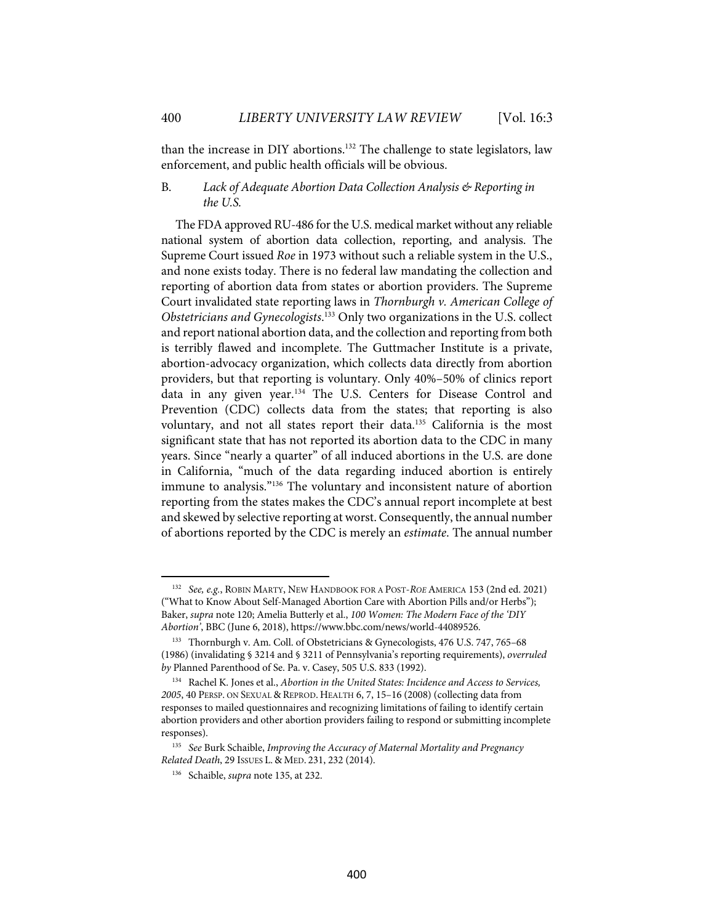than the increase in DIY abortions.132 The challenge to state legislators, law enforcement, and public health officials will be obvious.

#### B. *Lack of Adequate Abortion Data Collection Analysis & Reporting in the U.S.*

The FDA approved RU-486 for the U.S. medical market without any reliable national system of abortion data collection, reporting, and analysis. The Supreme Court issued *Roe* in 1973 without such a reliable system in the U.S., and none exists today. There is no federal law mandating the collection and reporting of abortion data from states or abortion providers. The Supreme Court invalidated state reporting laws in *Thornburgh v. American College of Obstetricians and Gynecologists*. <sup>133</sup> Only two organizations in the U.S. collect and report national abortion data, and the collection and reporting from both is terribly flawed and incomplete. The Guttmacher Institute is a private, abortion-advocacy organization, which collects data directly from abortion providers, but that reporting is voluntary. Only 40%–50% of clinics report data in any given year.<sup>134</sup> The U.S. Centers for Disease Control and Prevention (CDC) collects data from the states; that reporting is also voluntary, and not all states report their data.<sup>135</sup> California is the most significant state that has not reported its abortion data to the CDC in many years. Since "nearly a quarter" of all induced abortions in the U.S. are done in California, "much of the data regarding induced abortion is entirely immune to analysis."<sup>136</sup> The voluntary and inconsistent nature of abortion reporting from the states makes the CDC's annual report incomplete at best and skewed by selective reporting at worst. Consequently, the annual number of abortions reported by the CDC is merely an *estimate*. The annual number

<sup>132</sup> *See, e.g.*, ROBIN MARTY, NEW HANDBOOK FOR A POST-*ROE* AMERICA 153 (2nd ed. 2021) ("What to Know About Self-Managed Abortion Care with Abortion Pills and/or Herbs"); Baker, *supra* note 120; Amelia Butterly et al., *100 Women: The Modern Face of the 'DIY Abortion'*, BBC (June 6, 2018), https://www.bbc.com/news/world-44089526.

<sup>133</sup> Thornburgh v. Am. Coll. of Obstetricians & Gynecologists, 476 U.S. 747, 765–68 (1986) (invalidating § 3214 and § 3211 of Pennsylvania's reporting requirements), *overruled by* Planned Parenthood of Se. Pa. v. Casey, 505 U.S. 833 (1992).

<sup>134</sup> Rachel K. Jones et al., *Abortion in the United States: Incidence and Access to Services, 2005*, 40 PERSP. ON SEXUAL & REPROD. HEALTH 6, 7, 15–16 (2008) (collecting data from responses to mailed questionnaires and recognizing limitations of failing to identify certain abortion providers and other abortion providers failing to respond or submitting incomplete responses).

<sup>135</sup> *See* Burk Schaible, *Improving the Accuracy of Maternal Mortality and Pregnancy Related Death*, 29 ISSUES L. & MED. 231, 232 (2014).

<sup>136</sup> Schaible, *supra* note 135, at 232.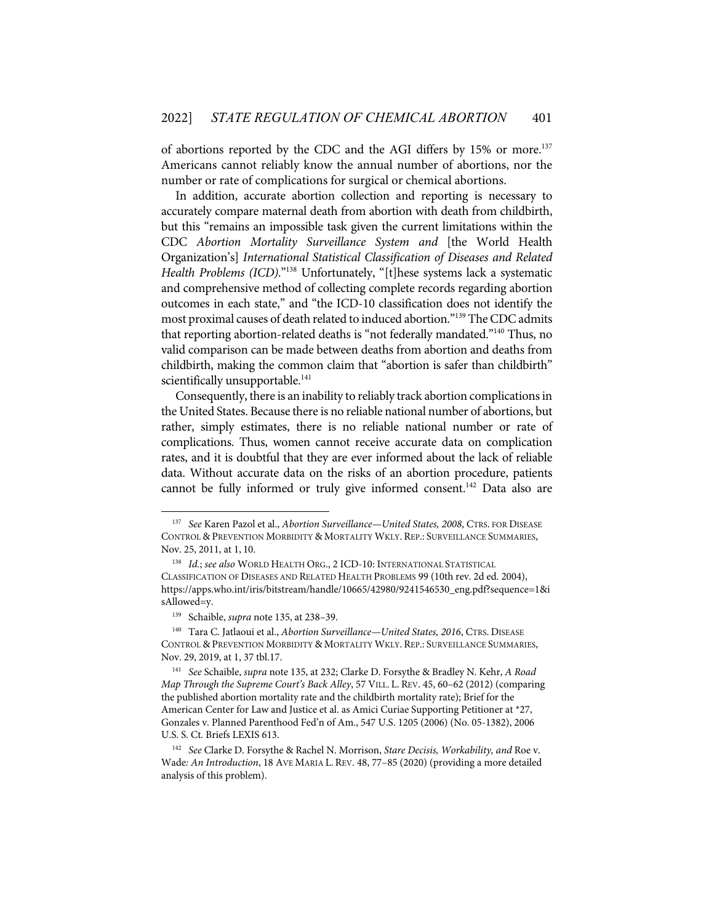of abortions reported by the CDC and the AGI differs by 15% or more.<sup>137</sup> Americans cannot reliably know the annual number of abortions, nor the number or rate of complications for surgical or chemical abortions.

In addition, accurate abortion collection and reporting is necessary to accurately compare maternal death from abortion with death from childbirth, but this "remains an impossible task given the current limitations within the CDC *Abortion Mortality Surveillance System and* [the World Health Organization's] *International Statistical Classification of Diseases and Related Health Problems (ICD)*."138 Unfortunately, "[t]hese systems lack a systematic and comprehensive method of collecting complete records regarding abortion outcomes in each state," and "the ICD-10 classification does not identify the most proximal causes of death related to induced abortion."139 The CDC admits that reporting abortion-related deaths is "not federally mandated."140 Thus, no valid comparison can be made between deaths from abortion and deaths from childbirth, making the common claim that "abortion is safer than childbirth" scientifically unsupportable.<sup>141</sup>

Consequently, there is an inability to reliably track abortion complications in the United States. Because there is no reliable national number of abortions, but rather, simply estimates, there is no reliable national number or rate of complications. Thus, women cannot receive accurate data on complication rates, and it is doubtful that they are ever informed about the lack of reliable data. Without accurate data on the risks of an abortion procedure, patients cannot be fully informed or truly give informed consent.<sup>142</sup> Data also are

<sup>137</sup> *See* Karen Pazol et al., *Abortion Surveillance—United States, 2008*, CTRS. FOR DISEASE CONTROL & PREVENTION MORBIDITY & MORTALITY WKLY. REP.: SURVEILLANCE SUMMARIES, Nov. 25, 2011, at 1, 10.

<sup>138</sup> *Id.*; *see also* WORLD HEALTH ORG., 2 ICD-10: INTERNATIONAL STATISTICAL CLASSIFICATION OF DISEASES AND RELATED HEALTH PROBLEMS 99 (10th rev. 2d ed. 2004), https://apps.who.int/iris/bitstream/handle/10665/42980/9241546530\_eng.pdf?sequence=1&i sAllowed=y.

<sup>139</sup> Schaible, *supra* note 135, at 238–39.

<sup>140</sup> Tara C. Jatlaoui et al., *Abortion Surveillance—United States, 2016*, CTRS. DISEASE CONTROL & PREVENTION MORBIDITY & MORTALITY WKLY. REP.: SURVEILLANCE SUMMARIES, Nov. 29, 2019, at 1, 37 tbl.17.

<sup>141</sup> *See* Schaible, *supra* note 135, at 232; Clarke D. Forsythe & Bradley N. Kehr, *A Road Map Through the Supreme Court's Back Alley*, 57 VILL. L. REV. 45, 60–62 (2012) (comparing the published abortion mortality rate and the childbirth mortality rate); Brief for the American Center for Law and Justice et al. as Amici Curiae Supporting Petitioner at \*27, Gonzales v. Planned Parenthood Fed'n of Am., 547 U.S. 1205 (2006) (No. 05-1382), 2006 U.S. S. Ct. Briefs LEXIS 613.

<sup>142</sup> *See* Clarke D. Forsythe & Rachel N. Morrison, *Stare Decisis, Workability, and* Roe v. Wade*: An Introduction*, 18 AVE MARIA L. REV. 48, 77–85 (2020) (providing a more detailed analysis of this problem).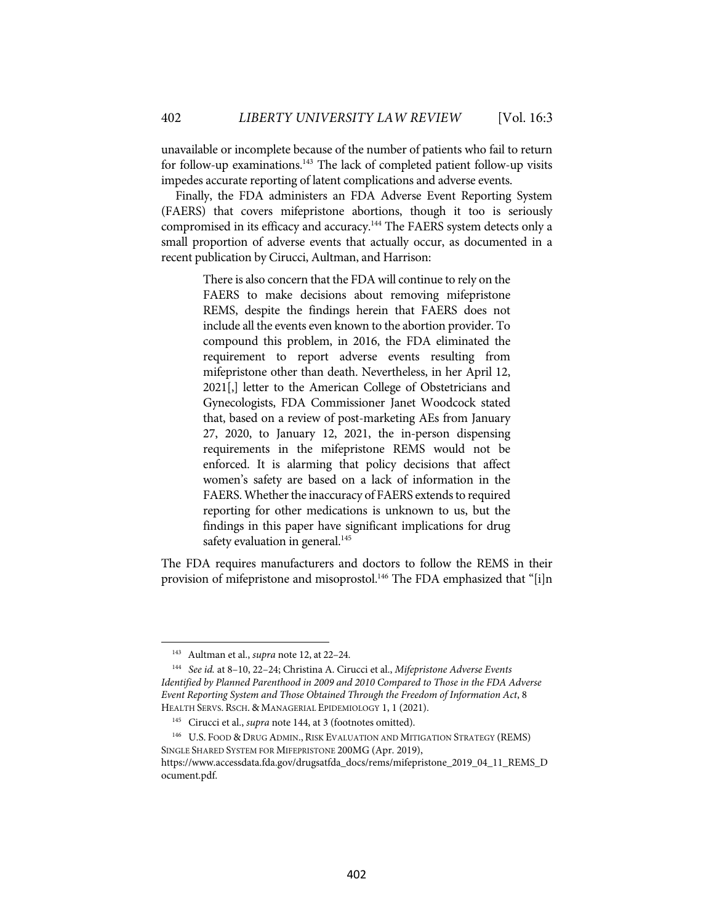unavailable or incomplete because of the number of patients who fail to return for follow-up examinations.<sup>143</sup> The lack of completed patient follow-up visits impedes accurate reporting of latent complications and adverse events.

Finally, the FDA administers an FDA Adverse Event Reporting System (FAERS) that covers mifepristone abortions, though it too is seriously compromised in its efficacy and accuracy.<sup>144</sup> The FAERS system detects only a small proportion of adverse events that actually occur, as documented in a recent publication by Cirucci, Aultman, and Harrison:

> There is also concern that the FDA will continue to rely on the FAERS to make decisions about removing mifepristone REMS, despite the findings herein that FAERS does not include all the events even known to the abortion provider. To compound this problem, in 2016, the FDA eliminated the requirement to report adverse events resulting from mifepristone other than death. Nevertheless, in her April 12, 2021[,] letter to the American College of Obstetricians and Gynecologists, FDA Commissioner Janet Woodcock stated that, based on a review of post-marketing AEs from January 27, 2020, to January 12, 2021, the in-person dispensing requirements in the mifepristone REMS would not be enforced. It is alarming that policy decisions that affect women's safety are based on a lack of information in the FAERS. Whether the inaccuracy of FAERS extends to required reporting for other medications is unknown to us, but the findings in this paper have significant implications for drug safety evaluation in general.<sup>145</sup>

The FDA requires manufacturers and doctors to follow the REMS in their provision of mifepristone and misoprostol.<sup>146</sup> The FDA emphasized that "[i]n

<sup>143</sup> Aultman et al., *supra* note 12, at 22–24.

<sup>144</sup> *See id.* at 8–10, 22–24; Christina A. Cirucci et al., *Mifepristone Adverse Events Identified by Planned Parenthood in 2009 and 2010 Compared to Those in the FDA Adverse Event Reporting System and Those Obtained Through the Freedom of Information Act*, 8 HEALTH SERVS. RSCH. & MANAGERIAL EPIDEMIOLOGY 1, 1 (2021).

<sup>145</sup> Cirucci et al., *supra* note 144, at 3 (footnotes omitted).

<sup>146</sup> U.S. FOOD & DRUG ADMIN., RISK EVALUATION AND MITIGATION STRATEGY (REMS) SINGLE SHARED SYSTEM FOR MIFEPRISTONE 200MG (Apr. 2019), https://www.accessdata.fda.gov/drugsatfda\_docs/rems/mifepristone\_2019\_04\_11\_REMS\_D ocument.pdf.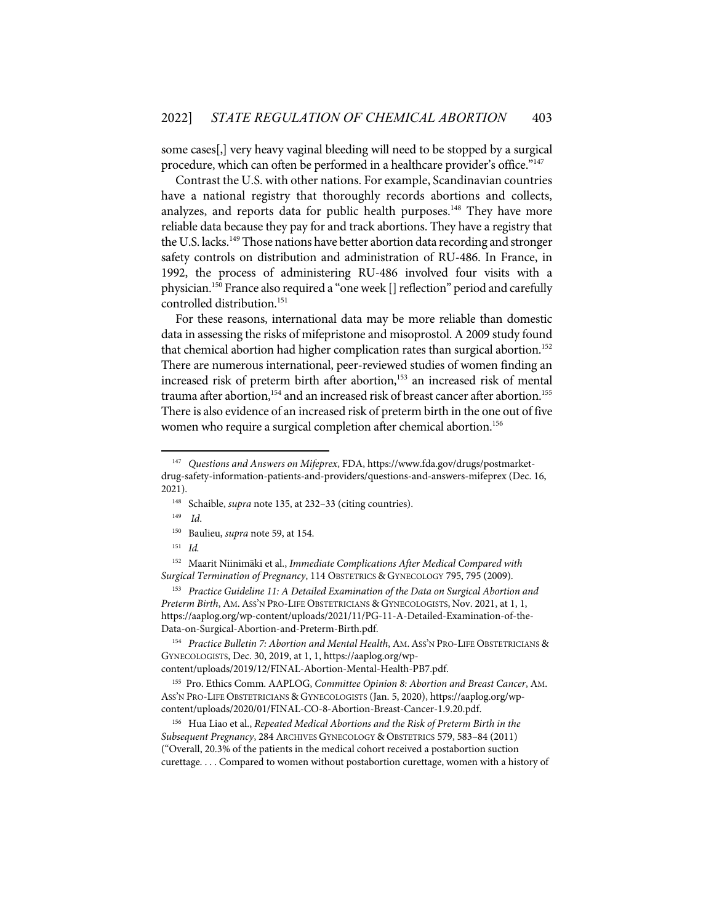some cases[,] very heavy vaginal bleeding will need to be stopped by a surgical procedure, which can often be performed in a healthcare provider's office."147

Contrast the U.S. with other nations. For example, Scandinavian countries have a national registry that thoroughly records abortions and collects, analyzes, and reports data for public health purposes.<sup>148</sup> They have more reliable data because they pay for and track abortions. They have a registry that the U.S. lacks.<sup>149</sup> Those nations have better abortion data recording and stronger safety controls on distribution and administration of RU-486. In France, in 1992, the process of administering RU-486 involved four visits with a physician.<sup>150</sup> France also required a "one week [] reflection" period and carefully controlled distribution.151

For these reasons, international data may be more reliable than domestic data in assessing the risks of mifepristone and misoprostol. A 2009 study found that chemical abortion had higher complication rates than surgical abortion.<sup>152</sup> There are numerous international, peer-reviewed studies of women finding an increased risk of preterm birth after abortion, <sup>153</sup> an increased risk of mental trauma after abortion,<sup>154</sup> and an increased risk of breast cancer after abortion.<sup>155</sup> There is also evidence of an increased risk of preterm birth in the one out of five women who require a surgical completion after chemical abortion.<sup>156</sup>

153 *Practice Guideline 11: A Detailed Examination of the Data on Surgical Abortion and Preterm Birth*, AM.ASS'N PRO-LIFE OBSTETRICIANS & GYNECOLOGISTS, Nov. 2021, at 1, 1, https://aaplog.org/wp-content/uploads/2021/11/PG-11-A-Detailed-Examination-of-the-Data-on-Surgical-Abortion-and-Preterm-Birth.pdf.

<sup>154</sup> Practice Bulletin 7: Abortion and Mental Health, AM. ASS'N PRO-LIFE OBSTETRICIANS & GYNECOLOGISTS, Dec. 30, 2019, at 1, 1, https://aaplog.org/wp-

content/uploads/2019/12/FINAL-Abortion-Mental-Health-PB7.pdf.

<sup>155</sup> Pro. Ethics Comm. AAPLOG, *Committee Opinion 8: Abortion and Breast Cancer*, AM. ASS'N PRO-LIFE OBSTETRICIANS & GYNECOLOGISTS (Jan. 5, 2020), https://aaplog.org/wpcontent/uploads/2020/01/FINAL-CO-8-Abortion-Breast-Cancer-1.9.20.pdf.

156 Hua Liao et al., *Repeated Medical Abortions and the Risk of Preterm Birth in the Subsequent Pregnancy*, 284 ARCHIVES GYNECOLOGY & OBSTETRICS 579, 583–84 (2011) ("Overall, 20.3% of the patients in the medical cohort received a postabortion suction curettage. . . . Compared to women without postabortion curettage, women with a history of

<sup>147</sup> *Questions and Answers on Mifeprex*, FDA, https://www.fda.gov/drugs/postmarketdrug-safety-information-patients-and-providers/questions-and-answers-mifeprex (Dec. 16, 2021).

<sup>148</sup> Schaible, *supra* note 135, at 232–33 (citing countries).

<sup>149</sup> *Id*.

<sup>150</sup> Baulieu, *supra* note 59, at 154.

<sup>151</sup> *Id.* 

<sup>152</sup> Maarit Niinimäki et al., *Immediate Complications After Medical Compared with Surgical Termination of Pregnancy*, 114 OBSTETRICS & GYNECOLOGY 795, 795 (2009).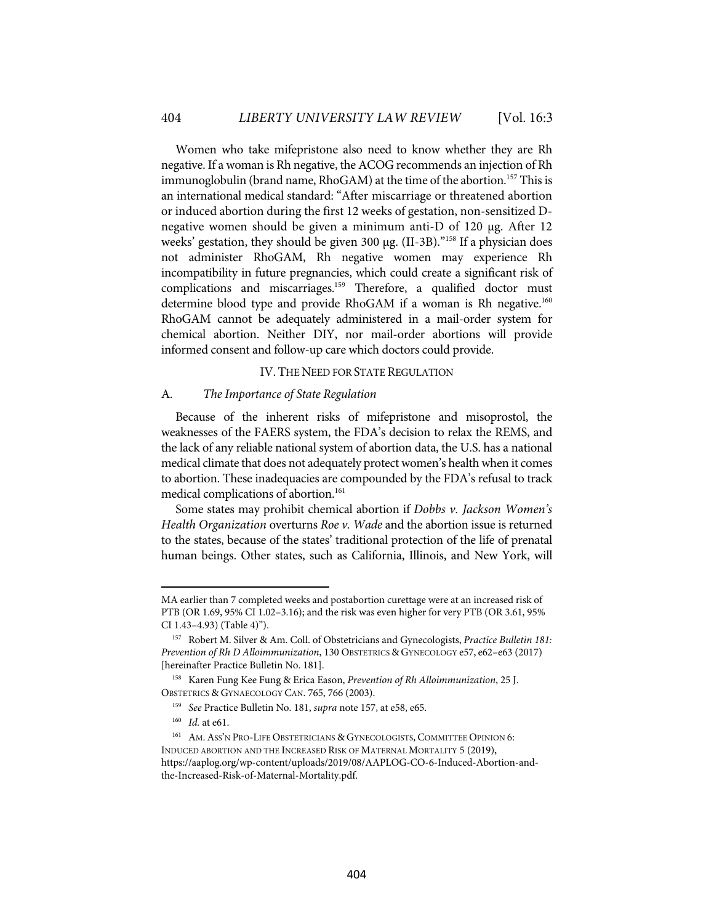Women who take mifepristone also need to know whether they are Rh negative. If a woman is Rh negative, the ACOG recommends an injection of Rh immunoglobulin (brand name, RhoGAM) at the time of the abortion. <sup>157</sup> This is an international medical standard: "After miscarriage or threatened abortion or induced abortion during the first 12 weeks of gestation, non-sensitized Dnegative women should be given a minimum anti-D of 120 µg. After 12 weeks' gestation, they should be given 300 µg. (II-3B).<sup>"158</sup> If a physician does not administer RhoGAM, Rh negative women may experience Rh incompatibility in future pregnancies, which could create a significant risk of complications and miscarriages.<sup>159</sup> Therefore, a qualified doctor must determine blood type and provide RhoGAM if a woman is Rh negative.<sup>160</sup> RhoGAM cannot be adequately administered in a mail-order system for chemical abortion. Neither DIY, nor mail-order abortions will provide informed consent and follow-up care which doctors could provide.

#### IV. THE NEED FOR STATE REGULATION

#### A. *The Importance of State Regulation*

Because of the inherent risks of mifepristone and misoprostol, the weaknesses of the FAERS system, the FDA's decision to relax the REMS, and the lack of any reliable national system of abortion data, the U.S. has a national medical climate that does not adequately protect women's health when it comes to abortion. These inadequacies are compounded by the FDA's refusal to track medical complications of abortion. 161

Some states may prohibit chemical abortion if *Dobbs v. Jackson Women's Health Organization* overturns *Roe v. Wade* and the abortion issue is returned to the states, because of the states' traditional protection of the life of prenatal human beings. Other states, such as California, Illinois, and New York, will

MA earlier than 7 completed weeks and postabortion curettage were at an increased risk of PTB (OR 1.69, 95% CI 1.02–3.16); and the risk was even higher for very PTB (OR 3.61, 95% CI 1.43–4.93) (Table 4)").

<sup>157</sup> Robert M. Silver & Am. Coll. of Obstetricians and Gynecologists, *Practice Bulletin 181: Prevention of Rh D Alloimmunization*, 130 OBSTETRICS & GYNECOLOGY e57, e62–e63 (2017) [hereinafter Practice Bulletin No. 181].

<sup>158</sup> Karen Fung Kee Fung & Erica Eason, *Prevention of Rh Alloimmunization*, 25 J. OBSTETRICS & GYNAECOLOGY CAN. 765, 766 (2003).

<sup>159</sup> *See* Practice Bulletin No. 181, *supra* note 157, at e58, e65.

<sup>160</sup> *Id.* at e61.

<sup>161</sup> AM.ASS'N PRO-LIFE OBSTETRICIANS & GYNECOLOGISTS, COMMITTEE OPINION 6: INDUCED ABORTION AND THE INCREASED RISK OF MATERNAL MORTALITY 5 (2019), https://aaplog.org/wp-content/uploads/2019/08/AAPLOG-CO-6-Induced-Abortion-andthe-Increased-Risk-of-Maternal-Mortality.pdf.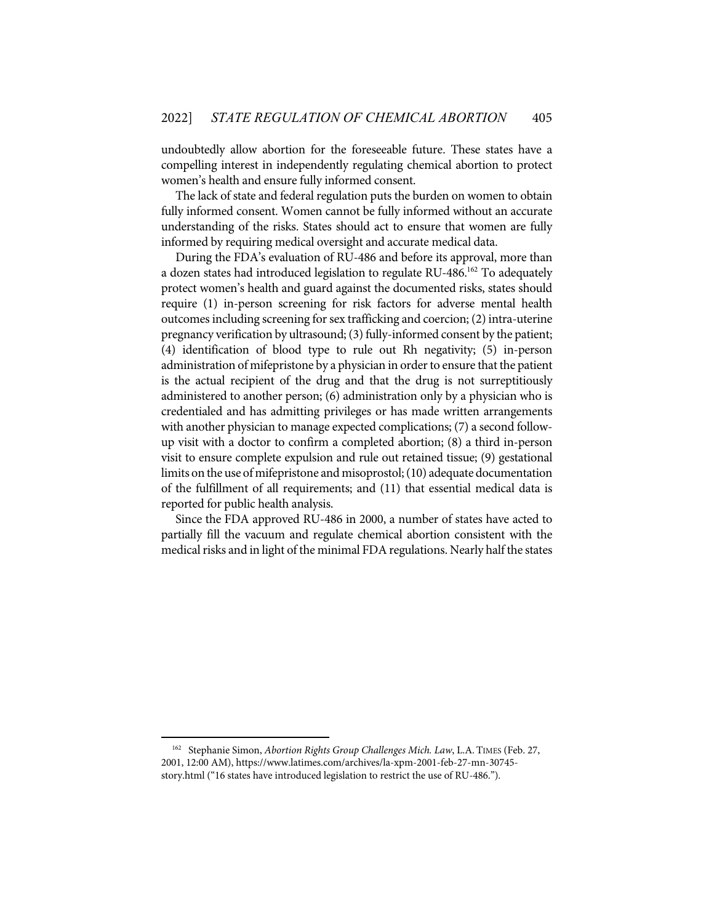undoubtedly allow abortion for the foreseeable future. These states have a compelling interest in independently regulating chemical abortion to protect women's health and ensure fully informed consent.

The lack of state and federal regulation puts the burden on women to obtain fully informed consent. Women cannot be fully informed without an accurate understanding of the risks. States should act to ensure that women are fully informed by requiring medical oversight and accurate medical data.

During the FDA's evaluation of RU-486 and before its approval, more than a dozen states had introduced legislation to regulate RU-486. <sup>162</sup> To adequately protect women's health and guard against the documented risks, states should require (1) in-person screening for risk factors for adverse mental health outcomes including screening for sex trafficking and coercion; (2) intra-uterine pregnancy verification by ultrasound; (3) fully-informed consent by the patient; (4) identification of blood type to rule out Rh negativity; (5) in-person administration of mifepristone by a physician in order to ensure that the patient is the actual recipient of the drug and that the drug is not surreptitiously administered to another person; (6) administration only by a physician who is credentialed and has admitting privileges or has made written arrangements with another physician to manage expected complications; (7) a second followup visit with a doctor to confirm a completed abortion; (8) a third in-person visit to ensure complete expulsion and rule out retained tissue; (9) gestational limits on the use of mifepristone and misoprostol;(10) adequate documentation of the fulfillment of all requirements; and (11) that essential medical data is reported for public health analysis.

Since the FDA approved RU-486 in 2000, a number of states have acted to partially fill the vacuum and regulate chemical abortion consistent with the medical risks and in light of the minimal FDA regulations. Nearly half the states

<sup>162</sup> Stephanie Simon, *Abortion Rights Group Challenges Mich. Law*, L.A. TIMES (Feb. 27, 2001, 12:00 AM), https://www.latimes.com/archives/la-xpm-2001-feb-27-mn-30745 story.html ("16 states have introduced legislation to restrict the use of RU-486.").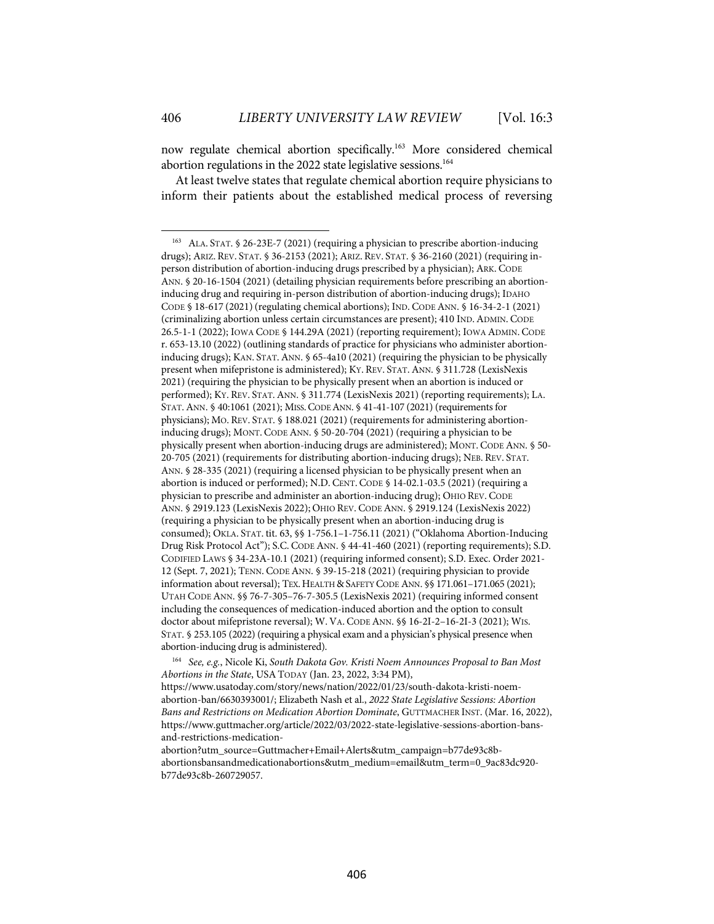now regulate chemical abortion specifically.<sup>163</sup> More considered chemical abortion regulations in the 2022 state legislative sessions.<sup>164</sup>

At least twelve states that regulate chemical abortion require physicians to inform their patients about the established medical process of reversing

<sup>164</sup> *See, e.g.*, Nicole Ki, *South Dakota Gov. Kristi Noem Announces Proposal to Ban Most Abortions in the State*, USATODAY (Jan. 23, 2022, 3:34 PM), https://www.usatoday.com/story/news/nation/2022/01/23/south-dakota-kristi-noemabortion-ban/6630393001/; Elizabeth Nash et al., *2022 State Legislative Sessions: Abortion Bans and Restrictions on Medication Abortion Dominate*, GUTTMACHER INST. (Mar. 16, 2022), https://www.guttmacher.org/article/2022/03/2022-state-legislative-sessions-abortion-bansand-restrictions-medication-

abortion?utm\_source=Guttmacher+Email+Alerts&utm\_campaign=b77de93c8babortionsbansandmedicationabortions&utm\_medium=email&utm\_term=0\_9ac83dc920 b77de93c8b-260729057.

 $163$  ALA. STAT. § 26-23E-7 (2021) (requiring a physician to prescribe abortion-inducing drugs); ARIZ. REV. STAT. § 36-2153 (2021); ARIZ. REV. STAT. § 36-2160 (2021) (requiring inperson distribution of abortion-inducing drugs prescribed by a physician); ARK. CODE ANN. § 20-16-1504 (2021) (detailing physician requirements before prescribing an abortioninducing drug and requiring in-person distribution of abortion-inducing drugs); IDAHO CODE § 18-617 (2021)(regulating chemical abortions); IND. CODE ANN. § 16-34-2-1 (2021) (criminalizing abortion unless certain circumstances are present); 410 IND.ADMIN. CODE 26.5-1-1 (2022); IOWA CODE § 144.29A (2021) (reporting requirement); IOWA ADMIN. CODE r. 653-13.10 (2022) (outlining standards of practice for physicians who administer abortioninducing drugs); KAN. STAT.ANN. § 65-4a10 (2021) (requiring the physician to be physically present when mifepristone is administered); KY. REV. STAT.ANN. § 311.728 (LexisNexis 2021) (requiring the physician to be physically present when an abortion is induced or performed); KY. REV. STAT.ANN. § 311.774 (LexisNexis 2021) (reporting requirements); LA. STAT.ANN. § 40:1061 (2021); MISS.CODE ANN. § 41-41-107 (2021) (requirements for physicians); MO. REV. STAT. § 188.021 (2021) (requirements for administering abortioninducing drugs); MONT. CODE ANN. § 50-20-704 (2021) (requiring a physician to be physically present when abortion-inducing drugs are administered); MONT. CODE ANN. § 50- 20-705 (2021) (requirements for distributing abortion-inducing drugs); NEB. REV. STAT. ANN. § 28-335 (2021) (requiring a licensed physician to be physically present when an abortion is induced or performed); N.D. CENT. CODE § 14-02.1-03.5 (2021) (requiring a physician to prescribe and administer an abortion-inducing drug); OHIO REV. CODE ANN. § 2919.123 (LexisNexis 2022); OHIO REV. CODE ANN. § 2919.124 (LexisNexis 2022) (requiring a physician to be physically present when an abortion-inducing drug is consumed); OKLA. STAT. tit. 63, §§ 1-756.1–1-756.11 (2021) ("Oklahoma Abortion-Inducing Drug Risk Protocol Act"); S.C. CODE ANN. § 44-41-460 (2021) (reporting requirements); S.D. CODIFIED LAWS § 34-23A-10.1 (2021) (requiring informed consent); S.D. Exec. Order 2021- 12 (Sept. 7, 2021); TENN. CODE ANN. § 39-15-218 (2021) (requiring physician to provide information about reversal); TEX. HEALTH & SAFETY CODE ANN. §§ 171.061-171.065 (2021); UTAH CODE ANN. §§ 76-7-305–76-7-305.5 (LexisNexis 2021) (requiring informed consent including the consequences of medication-induced abortion and the option to consult doctor about mifepristone reversal); W. VA. CODE ANN. §§ 16-2I-2–16-2I-3 (2021); WIS. STAT. § 253.105 (2022) (requiring a physical exam and a physician's physical presence when abortion-inducing drug is administered).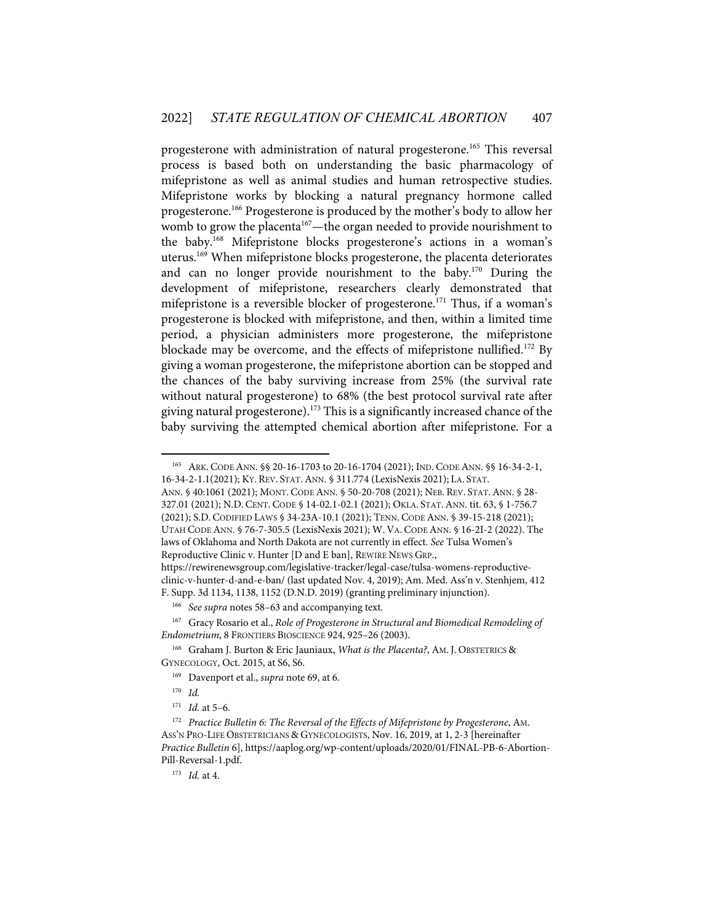progesterone with administration of natural progesterone. <sup>165</sup> This reversal process is based both on understanding the basic pharmacology of mifepristone as well as animal studies and human retrospective studies. Mifepristone works by blocking a natural pregnancy hormone called progesterone.166 Progesterone is produced by the mother's body to allow her womb to grow the placenta<sup>167</sup>—the organ needed to provide nourishment to the baby.168 Mifepristone blocks progesterone's actions in a woman's uterus. <sup>169</sup> When mifepristone blocks progesterone, the placenta deteriorates and can no longer provide nourishment to the baby.170 During the development of mifepristone, researchers clearly demonstrated that mifepristone is a reversible blocker of progesterone.<sup>171</sup> Thus, if a woman's progesterone is blocked with mifepristone, and then, within a limited time period, a physician administers more progesterone, the mifepristone blockade may be overcome, and the effects of mifepristone nullified.<sup>172</sup> By giving a woman progesterone, the mifepristone abortion can be stopped and the chances of the baby surviving increase from 25% (the survival rate without natural progesterone) to 68% (the best protocol survival rate after giving natural progesterone).<sup>173</sup> This is a significantly increased chance of the baby surviving the attempted chemical abortion after mifepristone. For a

165 ARK. CODE ANN. §§ 20-16-1703 to 20-16-1704 (2021); IND. CODE ANN. §§ 16-34-2-1, 16-34-2-1.1(2021); KY. REV. STAT.ANN. § 311.774 (LexisNexis 2021); LA. STAT. ANN. § 40:1061 (2021); MONT. CODE ANN. § 50-20-708 (2021); NEB. REV. STAT.ANN. § 28-

327.01 (2021); N.D. CENT. CODE § 14-02.1-02.1 (2021); OKLA. STAT.ANN. tit. 63, § 1-756.7 (2021); S.D. CODIFIED LAWS § 34-23A-10.1 (2021); TENN. CODE ANN. § 39-15-218 (2021); UTAH CODE ANN. § 76-7-305.5 (LexisNexis 2021); W. VA. CODE ANN. § 16-2I-2 (2022). The laws of Oklahoma and North Dakota are not currently in effect. *See* Tulsa Women's Reproductive Clinic v. Hunter [D and E ban], REWIRE NEWS GRP., https://rewirenewsgroup.com/legislative-tracker/legal-case/tulsa-womens-reproductive-

clinic-v-hunter-d-and-e-ban/ (last updated Nov. 4, 2019); Am. Med. Ass'n v. Stenhjem, 412 F. Supp. 3d 1134, 1138, 1152 (D.N.D. 2019) (granting preliminary injunction).

<sup>166</sup> *See supra* notes 58–63 and accompanying text.

<sup>167</sup> Gracy Rosario et al., *Role of Progesterone in Structural and Biomedical Remodeling of Endometrium*, 8 FRONTIERS BIOSCIENCE 924, 925–26 (2003).

<sup>168</sup> Graham J. Burton & Eric Jauniaux, *What is the Placenta?*, AM. J. OBSTETRICS & GYNECOLOGY, Oct. 2015, at S6, S6.

<sup>169</sup> Davenport et al., *supra* note 69, at 6.

<sup>170</sup> *Id.*

<sup>171</sup> *Id.* at 5–6.

<sup>172</sup> *Practice Bulletin 6: The Reversal of the Effects of Mifepristone by Progesterone*, AM. ASS'N PRO-LIFE OBSTETRICIANS & GYNECOLOGISTS, Nov. 16, 2019, at 1, 2-3 [hereinafter *Practice Bulletin* 6], https://aaplog.org/wp-content/uploads/2020/01/FINAL-PB-6-Abortion-Pill-Reversal-1.pdf.

<sup>173</sup> *Id.* at 4.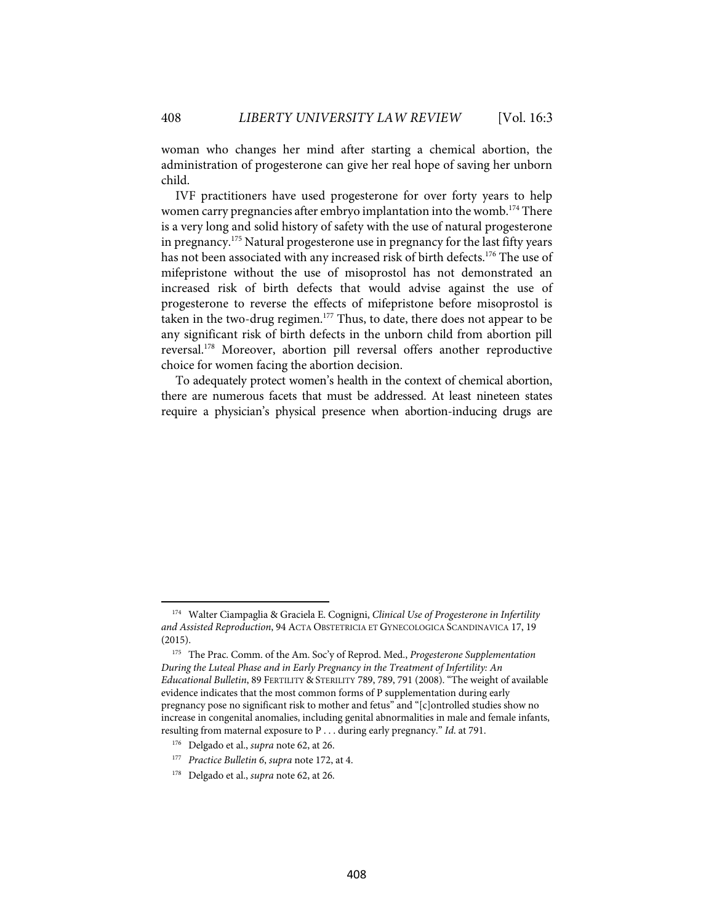woman who changes her mind after starting a chemical abortion, the administration of progesterone can give her real hope of saving her unborn child.

IVF practitioners have used progesterone for over forty years to help women carry pregnancies after embryo implantation into the womb. <sup>174</sup> There is a very long and solid history of safety with the use of natural progesterone in pregnancy.175 Natural progesterone use in pregnancy for the last fifty years has not been associated with any increased risk of birth defects.<sup>176</sup> The use of mifepristone without the use of misoprostol has not demonstrated an increased risk of birth defects that would advise against the use of progesterone to reverse the effects of mifepristone before misoprostol is taken in the two-drug regimen.<sup>177</sup> Thus, to date, there does not appear to be any significant risk of birth defects in the unborn child from abortion pill reversal.178 Moreover, abortion pill reversal offers another reproductive choice for women facing the abortion decision.

To adequately protect women's health in the context of chemical abortion, there are numerous facets that must be addressed. At least nineteen states require a physician's physical presence when abortion-inducing drugs are

408

<sup>174</sup> Walter Ciampaglia & Graciela E. Cognigni, *Clinical Use of Progesterone in Infertility and Assisted Reproduction*, 94 ACTA OBSTETRICIA ET GYNECOLOGICA SCANDINAVICA 17, 19 (2015).

<sup>175</sup> The Prac. Comm. of the Am. Soc'y of Reprod. Med., *Progesterone Supplementation During the Luteal Phase and in Early Pregnancy in the Treatment of Infertility: An Educational Bulletin*, 89 FERTILITY & STERILITY 789, 789, 791 (2008). "The weight of available evidence indicates that the most common forms of P supplementation during early pregnancy pose no significant risk to mother and fetus" and "[c]ontrolled studies show no increase in congenital anomalies, including genital abnormalities in male and female infants, resulting from maternal exposure to P . . . during early pregnancy." *Id*. at 791.

<sup>176</sup> Delgado et al., *supra* note 62, at 26.

<sup>177</sup> *Practice Bulletin 6*, *supra* note 172, at 4.

<sup>178</sup> Delgado et al., *supra* note 62, at 26.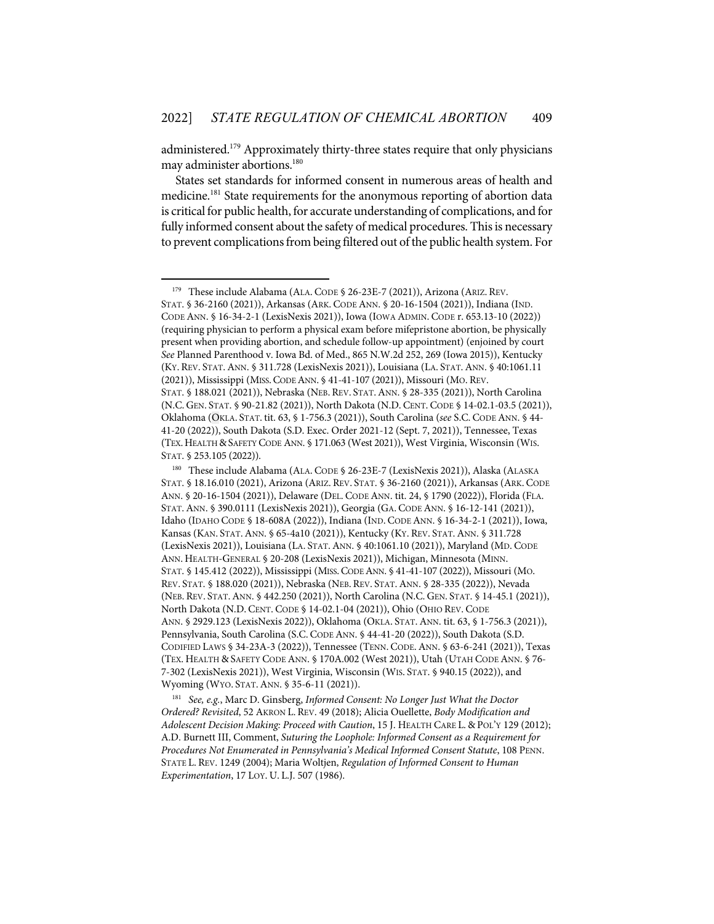administered. <sup>179</sup> Approximately thirty-three states require that only physicians may administer abortions.<sup>180</sup>

States set standards for informed consent in numerous areas of health and medicine.181 State requirements for the anonymous reporting of abortion data is critical for public health, for accurate understanding of complications, and for fully informed consent about the safety of medical procedures. This is necessary to prevent complications from being filtered out of the public health system. For

STAT. § 253.105 (2022)).

STAT. § 36-2160 (2021)), Arkansas (ARK. CODE ANN. § 20-16-1504 (2021)), Indiana (IND. CODE ANN. § 16-34-2-1 (LexisNexis 2021)), Iowa (IOWA ADMIN. CODE r. 653.13-10 (2022)) (requiring physician to perform a physical exam before mifepristone abortion, be physically present when providing abortion, and schedule follow-up appointment) (enjoined by court *See* Planned Parenthood v. Iowa Bd. of Med., 865 N.W.2d 252, 269 (Iowa 2015)), Kentucky (KY. REV. STAT.ANN. § 311.728 (LexisNexis 2021)), Louisiana (LA. STAT.ANN. § 40:1061.11 (2021)), Mississippi (MISS.CODE ANN. § 41-41-107 (2021)), Missouri (MO. REV. STAT. § 188.021 (2021)), Nebraska (NEB. REV. STAT.ANN. § 28-335 (2021)), North Carolina (N.C. GEN. STAT. § 90-21.82 (2021)), North Dakota (N.D. CENT. CODE § 14-02.1-03.5 (2021)), Oklahoma (OKLA. STAT. tit. 63, § 1-756.3 (2021)), South Carolina (*see* S.C. CODE ANN. § 44- 41-20 (2022)), South Dakota (S.D. Exec. Order 2021-12 (Sept. 7, 2021)), Tennessee, Texas (TEX.HEALTH &SAFETY CODE ANN. § 171.063 (West 2021)), West Virginia, Wisconsin (WIS.

181 *See, e.g.*, Marc D. Ginsberg, *Informed Consent: No Longer Just What the Doctor Ordered? Revisited*, 52 AKRON L. REV. 49 (2018); Alicia Ouellette, *Body Modification and Adolescent Decision Making: Proceed with Caution*, 15 J. HEALTH CARE L. & POL'Y 129 (2012); A.D. Burnett III, Comment, *Suturing the Loophole: Informed Consent as a Requirement for Procedures Not Enumerated in Pennsylvania's Medical Informed Consent Statute*, 108 PENN. STATE L. REV. 1249 (2004); Maria Woltjen, *Regulation of Informed Consent to Human Experimentation*, 17 LOY. U. L.J. 507 (1986).

<sup>&</sup>lt;sup>179</sup> These include Alabama (ALA. CODE § 26-23E-7 (2021)), Arizona (ARIZ. REV.

<sup>180</sup> These include Alabama (ALA. CODE § 26-23E-7 (LexisNexis 2021)), Alaska (ALASKA STAT. § 18.16.010 (2021), Arizona (ARIZ. REV. STAT. § 36-2160 (2021)), Arkansas (ARK. CODE ANN. § 20-16-1504 (2021)), Delaware (DEL. CODE ANN. tit. 24, § 1790 (2022)), Florida (FLA. STAT.ANN. § 390.0111 (LexisNexis 2021)), Georgia (GA. CODE ANN. § 16-12-141 (2021)), Idaho (IDAHO CODE § 18-608A (2022)), Indiana (IND. CODE ANN. § 16-34-2-1 (2021)), Iowa, Kansas (KAN. STAT.ANN. § 65-4a10 (2021)), Kentucky (KY. REV. STAT.ANN. § 311.728 (LexisNexis 2021)), Louisiana (LA. STAT.ANN. § 40:1061.10 (2021)), Maryland (MD. CODE ANN. HEALTH-GENERAL § 20-208 (LexisNexis 2021)), Michigan, Minnesota (MINN. STAT. § 145.412 (2022)), Mississippi (MISS.CODE ANN. § 41-41-107 (2022)), Missouri (MO. REV. STAT. § 188.020 (2021)), Nebraska (NEB. REV. STAT.ANN. § 28-335 (2022)), Nevada (NEB. REV. STAT.ANN. § 442.250 (2021)), North Carolina (N.C. GEN. STAT. § 14-45.1 (2021)), North Dakota (N.D. CENT. CODE § 14-02.1-04 (2021)), Ohio (OHIO REV. CODE ANN. § 2929.123 (LexisNexis 2022)), Oklahoma (OKLA. STAT.ANN. tit. 63, § 1-756.3 (2021)), Pennsylvania, South Carolina (S.C. CODE ANN. § 44-41-20 (2022)), South Dakota (S.D. CODIFIED LAWS § 34-23A-3 (2022)), Tennessee (TENN. CODE.ANN. § 63-6-241 (2021)), Texas (TEX. HEALTH & SAFETY CODE ANN. § 170A.002 (West 2021)), Utah (UTAH CODE ANN. § 76- 7-302 (LexisNexis 2021)), West Virginia, Wisconsin (WIS. STAT. § 940.15 (2022)), and Wyoming (WYO. STAT.ANN. § 35-6-11 (2021)).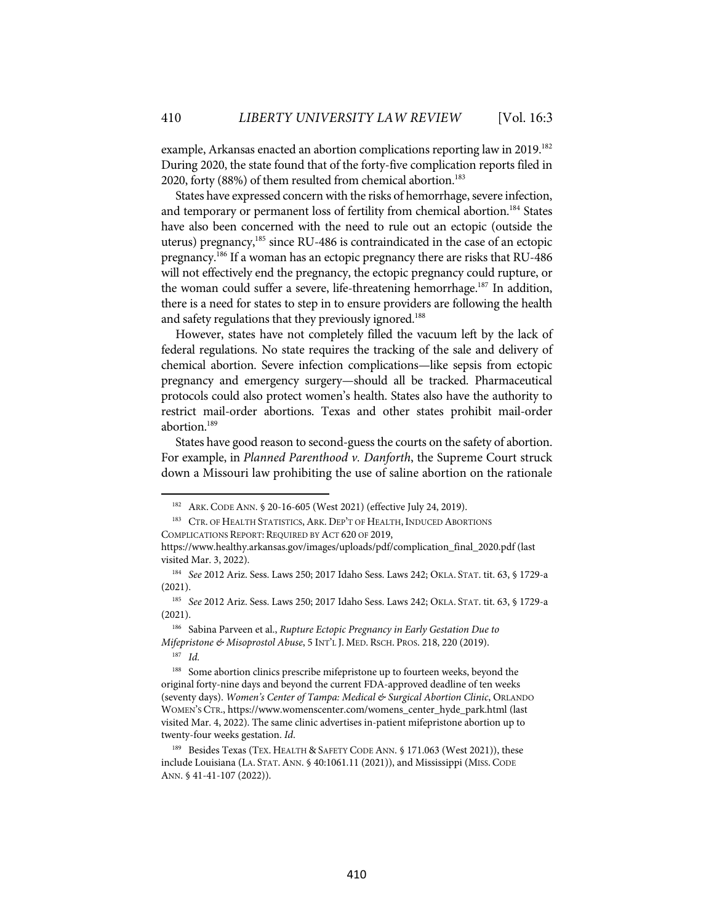example, Arkansas enacted an abortion complications reporting law in 2019.<sup>182</sup> During 2020, the state found that of the forty-five complication reports filed in 2020, forty (88%) of them resulted from chemical abortion.<sup>183</sup>

States have expressed concern with the risks of hemorrhage, severe infection, and temporary or permanent loss of fertility from chemical abortion. <sup>184</sup> States have also been concerned with the need to rule out an ectopic (outside the uterus) pregnancy,185 since RU-486 is contraindicated in the case of an ectopic pregnancy.186 If a woman has an ectopic pregnancy there are risks that RU-486 will not effectively end the pregnancy, the ectopic pregnancy could rupture, or the woman could suffer a severe, life-threatening hemorrhage.<sup>187</sup> In addition, there is a need for states to step in to ensure providers are following the health and safety regulations that they previously ignored. 188

However, states have not completely filled the vacuum left by the lack of federal regulations. No state requires the tracking of the sale and delivery of chemical abortion. Severe infection complications—like sepsis from ectopic pregnancy and emergency surgery—should all be tracked. Pharmaceutical protocols could also protect women's health. States also have the authority to restrict mail-order abortions. Texas and other states prohibit mail-order abortion.189

States have good reason to second-guess the courts on the safety of abortion. For example, in *Planned Parenthood v. Danforth*, the Supreme Court struck down a Missouri law prohibiting the use of saline abortion on the rationale

186 Sabina Parveen et al., *Rupture Ectopic Pregnancy in Early Gestation Due to Mifepristone & Misoprostol Abuse*, 5 INT'L J. MED. RSCH. PROS. 218, 220 (2019).

187 *Id.* 

<sup>182</sup> ARK. CODE ANN. § 20-16-605 (West 2021) (effective July 24, 2019).

<sup>&</sup>lt;sup>183</sup> CTR. OF HEALTH STATISTICS, ARK. DEP'T OF HEALTH, INDUCED ABORTIONS COMPLICATIONS REPORT: REQUIRED BY ACT 620 OF 2019,

https://www.healthy.arkansas.gov/images/uploads/pdf/complication\_final\_2020.pdf (last visited Mar. 3, 2022).

<sup>184</sup> *See* 2012 Ariz. Sess. Laws 250; 2017 Idaho Sess. Laws 242; OKLA. STAT. tit. 63, § 1729-a (2021).

<sup>185</sup> *See* 2012 Ariz. Sess. Laws 250; 2017 Idaho Sess. Laws 242; OKLA. STAT. tit. 63, § 1729-a (2021).

<sup>&</sup>lt;sup>188</sup> Some abortion clinics prescribe mifepristone up to fourteen weeks, beyond the original forty-nine days and beyond the current FDA-approved deadline of ten weeks (seventy days). *Women's Center of Tampa: Medical & Surgical Abortion Clinic*, ORLANDO WOMEN'S CTR., https://www.womenscenter.com/womens\_center\_hyde\_park.html (last visited Mar. 4, 2022). The same clinic advertises in-patient mifepristone abortion up to twenty-four weeks gestation. *Id*.

<sup>189</sup> Besides Texas (TEX. HEALTH & SAFETY CODE ANN. § 171.063 (West 2021)), these include Louisiana (LA. STAT.ANN. § 40:1061.11 (2021)), and Mississippi (MISS. CODE ANN. § 41-41-107 (2022)).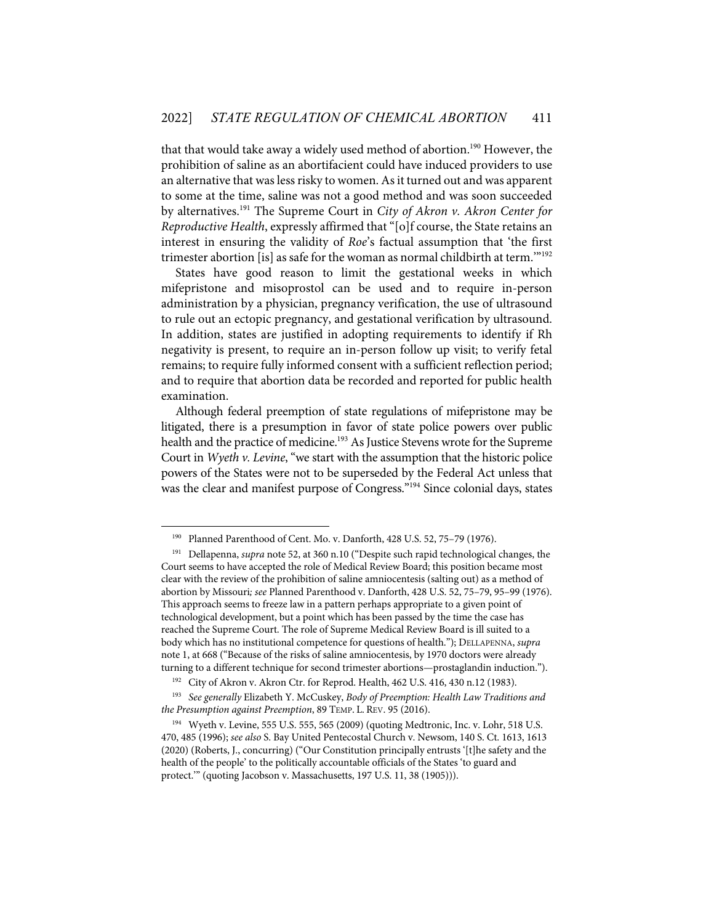that that would take away a widely used method of abortion.<sup>190</sup> However, the prohibition of saline as an abortifacient could have induced providers to use an alternative that was less risky to women. As it turned out and was apparent to some at the time, saline was not a good method and was soon succeeded by alternatives.191 The Supreme Court in *City of Akron v. Akron Center for Reproductive Health*, expressly affirmed that "[o]f course, the State retains an interest in ensuring the validity of *Roe*'s factual assumption that 'the first trimester abortion [is] as safe for the woman as normal childbirth at term.'"192

States have good reason to limit the gestational weeks in which mifepristone and misoprostol can be used and to require in-person administration by a physician, pregnancy verification, the use of ultrasound to rule out an ectopic pregnancy, and gestational verification by ultrasound. In addition, states are justified in adopting requirements to identify if Rh negativity is present, to require an in-person follow up visit; to verify fetal remains; to require fully informed consent with a sufficient reflection period; and to require that abortion data be recorded and reported for public health examination.

Although federal preemption of state regulations of mifepristone may be litigated, there is a presumption in favor of state police powers over public health and the practice of medicine.<sup>193</sup> As Justice Stevens wrote for the Supreme Court in *Wyeth v. Levine*, "we start with the assumption that the historic police powers of the States were not to be superseded by the Federal Act unless that was the clear and manifest purpose of Congress."194 Since colonial days, states

<sup>190</sup> Planned Parenthood of Cent. Mo. v. Danforth, 428 U.S. 52, 75–79 (1976).

<sup>191</sup> Dellapenna, *supra* note 52, at 360 n.10 ("Despite such rapid technological changes, the Court seems to have accepted the role of Medical Review Board; this position became most clear with the review of the prohibition of saline amniocentesis (salting out) as a method of abortion by Missouri*; see* Planned Parenthood v. Danforth, 428 U.S. 52, 75–79, 95–99 (1976). This approach seems to freeze law in a pattern perhaps appropriate to a given point of technological development, but a point which has been passed by the time the case has reached the Supreme Court. The role of Supreme Medical Review Board is ill suited to a body which has no institutional competence for questions of health."); DELLAPENNA, *supra* note 1, at 668 ("Because of the risks of saline amniocentesis, by 1970 doctors were already turning to a different technique for second trimester abortions—prostaglandin induction.").

<sup>&</sup>lt;sup>192</sup> City of Akron v. Akron Ctr. for Reprod. Health, 462 U.S. 416, 430 n.12 (1983).

<sup>193</sup> *See generally* Elizabeth Y. McCuskey, *Body of Preemption: Health Law Traditions and the Presumption against Preemption*, 89 TEMP. L. REV. 95 (2016).

<sup>194</sup> Wyeth v. Levine, 555 U.S. 555, 565 (2009) (quoting Medtronic, Inc. v. Lohr, 518 U.S. 470, 485 (1996); *see also* S. Bay United Pentecostal Church v. Newsom, 140 S. Ct. 1613, 1613 (2020) (Roberts, J., concurring) ("Our Constitution principally entrusts '[t]he safety and the health of the people' to the politically accountable officials of the States 'to guard and protect." (quoting Jacobson v. Massachusetts, 197 U.S. 11, 38 (1905))).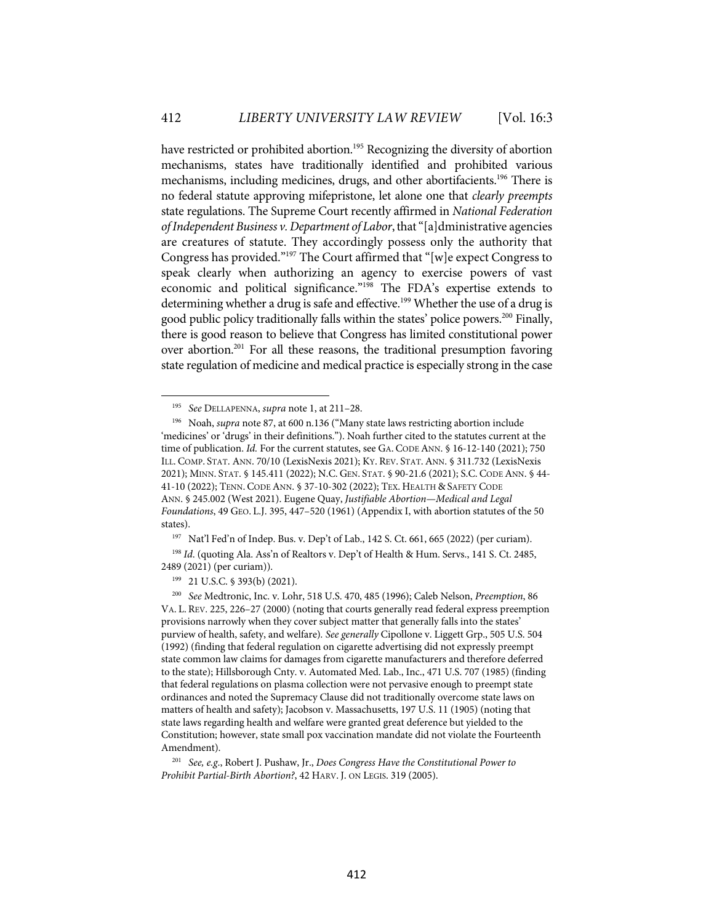have restricted or prohibited abortion.<sup>195</sup> Recognizing the diversity of abortion mechanisms, states have traditionally identified and prohibited various mechanisms, including medicines, drugs, and other abortifacients.196 There is no federal statute approving mifepristone, let alone one that *clearly preempts* state regulations. The Supreme Court recently affirmed in *National Federation of Independent Business v. Department of Labor*,that "[a]dministrative agencies are creatures of statute. They accordingly possess only the authority that Congress has provided."197 The Court affirmed that "[w]e expect Congress to speak clearly when authorizing an agency to exercise powers of vast economic and political significance."198 The FDA's expertise extends to determining whether a drug is safe and effective. <sup>199</sup> Whether the use of a drug is good public policy traditionally falls within the states' police powers.200 Finally, there is good reason to believe that Congress has limited constitutional power over abortion.201 For all these reasons, the traditional presumption favoring state regulation of medicine and medical practice is especially strong in the case

<sup>197</sup> Nat'l Fed'n of Indep. Bus. v. Dep't of Lab., 142 S. Ct. 661, 665 (2022) (per curiam).

<sup>198</sup> *Id.* (quoting Ala. Ass'n of Realtors v. Dep't of Health & Hum. Servs., 141 S. Ct. 2485, 2489 (2021) (per curiam)).

199 21 U.S.C. § 393(b) (2021).

200 *See* Medtronic, Inc. v. Lohr, 518 U.S. 470, 485 (1996); Caleb Nelson, *Preemption*, 86 VA. L. REV. 225, 226–27 (2000) (noting that courts generally read federal express preemption provisions narrowly when they cover subject matter that generally falls into the states' purview of health, safety, and welfare)*. See generally* Cipollone v. Liggett Grp., 505 U.S. 504 (1992) (finding that federal regulation on cigarette advertising did not expressly preempt state common law claims for damages from cigarette manufacturers and therefore deferred to the state); Hillsborough Cnty. v. Automated Med. Lab., Inc., 471 U.S. 707 (1985) (finding that federal regulations on plasma collection were not pervasive enough to preempt state ordinances and noted the Supremacy Clause did not traditionally overcome state laws on matters of health and safety); Jacobson v. Massachusetts, 197 U.S. 11 (1905) (noting that state laws regarding health and welfare were granted great deference but yielded to the Constitution; however, state small pox vaccination mandate did not violate the Fourteenth Amendment).

201 *See, e.g*., Robert J. Pushaw, Jr., *Does Congress Have the Constitutional Power to Prohibit Partial-Birth Abortion?*, 42 HARV. J. ON LEGIS. 319 (2005).

<sup>195</sup> *See* DELLAPENNA, *supra* note 1, at 211–28.

<sup>196</sup> Noah, *supra* note 87, at 600 n.136 ("Many state laws restricting abortion include 'medicines' or 'drugs' in their definitions."). Noah further cited to the statutes current at the time of publication. *Id.* For the current statutes, see GA. CODE ANN. § 16-12-140 (2021); 750 ILL. COMP. STAT. ANN. 70/10 (LexisNexis 2021); KY. REV. STAT.ANN. § 311.732 (LexisNexis 2021); MINN. STAT. § 145.411 (2022); N.C. GEN. STAT. § 90-21.6 (2021); S.C. CODE ANN. § 44- 41-10 (2022); TENN. CODE ANN. § 37-10-302 (2022); TEX. HEALTH & SAFETY CODE ANN. § 245.002 (West 2021). Eugene Quay, *Justifiable Abortion—Medical and Legal Foundations*, 49 GEO. L.J. 395, 447–520 (1961) (Appendix I, with abortion statutes of the 50 states).